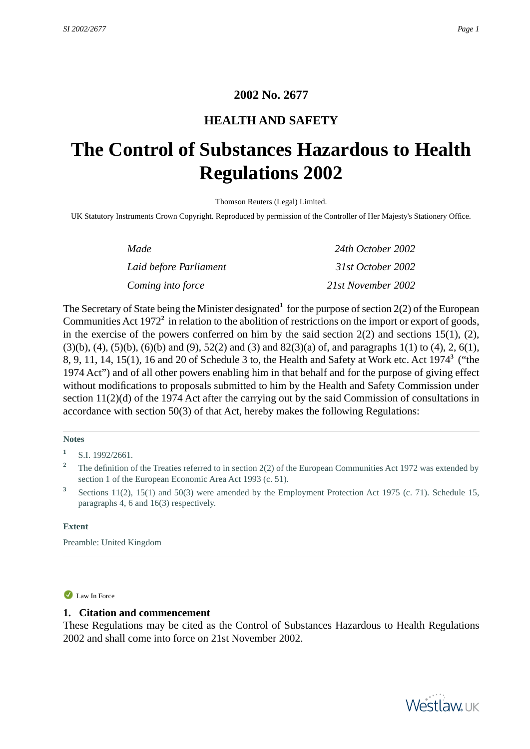## **2002 No. 2677**

## **HEALTH AND SAFETY**

# <span id="page-0-1"></span><span id="page-0-0"></span>**The Control of Substances Hazardous to Health Regulations 2002**

Thomson Reuters (Legal) Limited.

UK Statutory Instruments Crown Copyright. Reproduced by permission of the Controller of Her Majesty's Stationery Office.

| Made                   | 24th October 2002  |
|------------------------|--------------------|
| Laid before Parliament | 31st October 2002  |
| Coming into force      | 21st November 2002 |

The Secretary of State being the Minister designated<sup>1</sup> for the purpose of section 2(2) of the European Communities Act 1972<sup>2</sup> in relation to the abolition of restrictions on the import or export of goods, in the exercise of the powers conferred on him by the said section  $2(2)$  and sections 15(1), (2),  $(3)(b)$ ,  $(4)$ ,  $(5)(b)$ ,  $(6)(b)$  and  $(9)$ ,  $52(2)$  and  $(3)$  and  $82(3)(a)$  of, and paragraphs 1(1) to  $(4)$ , 2,  $6(1)$ , 8, 9, 11, 14, 15(1), 16 and 20 of Schedule 3 to, the Health and Safety at Work etc. Act 1974**<sup>3</sup>** ("the 1974 Act") and of all other powers enabling him in that behalf and for the purpose of giving effect without modifications to proposals submitted to him by the Health and Safety Commission under section 11(2)(d) of the 1974 Act after the carrying out by the said Commission of consultations in accordance with section 50(3) of that Act, hereby makes the following Regulations:

#### **Notes**

<sup>2</sup> The definition of the Treaties referred to in section 2(2) of the European Communities Act 1972 was extended by section 1 of the European Economic Area Act 1993 (c. 51).

<span id="page-0-2"></span>**3** Sections 11(2), 15(1) and 50(3) were amended by the Employment Protection Act 1975 (c. 71). Schedule 15, paragraphs 4, 6 and 16(3) respectively.

#### **Extent**

Preamble: United Kingdom

#### Law In Force

### **1. Citation and commencement**

These Regulations may be cited as the Control of Substances Hazardous to Health Regulations 2002 and shall come into force on 21st November 2002.



**<sup>1</sup>** S.I. 1992/2661.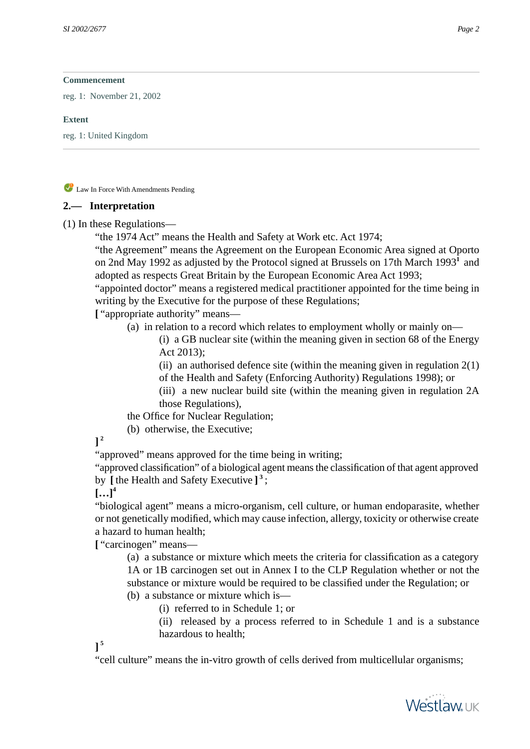reg. 1: November 21, 2002

#### **Extent**

<span id="page-1-0"></span>reg. 1: United Kingdom

Law In Force With Amendments Pending

## **2.— Interpretation**

(1) In these Regulations—

"the 1974 Act" means the Health and Safety at Work etc. Act 1974;

"the Agreement" means the Agreement on the European Economic Area signed at Oporto on 2nd May 1992 as adjusted by the Protocol signed at Brussels on 17th March 1993<sup>1</sup> and adopted as respects Great Britain by the European Economic Area Act 1993;

"appointed doctor" means a registered medical practitioner appointed for the time being in writing by the Executive for the purpose of these Regulations;

**[** "appropriate authority" means—

(a) in relation to a record which relates to employment wholly or mainly on—

(i) a GB nuclear site (within the meaning given in section 68 of the Energy Act 2013);

(ii) an authorised defence site (within the meaning given in regulation  $2(1)$ of the Health and Safety (Enforcing Authority) Regulations 1998); or

(iii) a new nuclear build site (within the meaning given in regulation 2A those Regulations),

the Office for Nuclear Regulation;

(b) otherwise, the Executive;

**] 2**

"approved" means approved for the time being in writing;

"approved classification" of a biological agent means the classification of that agent approved by **[** the Health and Safety Executive **] 3** ;

 $[...]^{4}$ 

"biological agent" means a micro-organism, cell culture, or human endoparasite, whether or not genetically modified, which may cause infection, allergy, toxicity or otherwise create a hazard to human health;

**[** "carcinogen" means—

(a) a substance or mixture which meets the criteria for classification as a category 1A or 1B carcinogen set out in Annex I to the CLP Regulation whether or not the substance or mixture would be required to be classified under the Regulation; or (b) a substance or mixture which is—

(i) referred to in Schedule 1; or

(ii) released by a process referred to in Schedule 1 and is a substance hazardous to health;

**] 5**

"cell culture" means the in-vitro growth of cells derived from multicellular organisms;

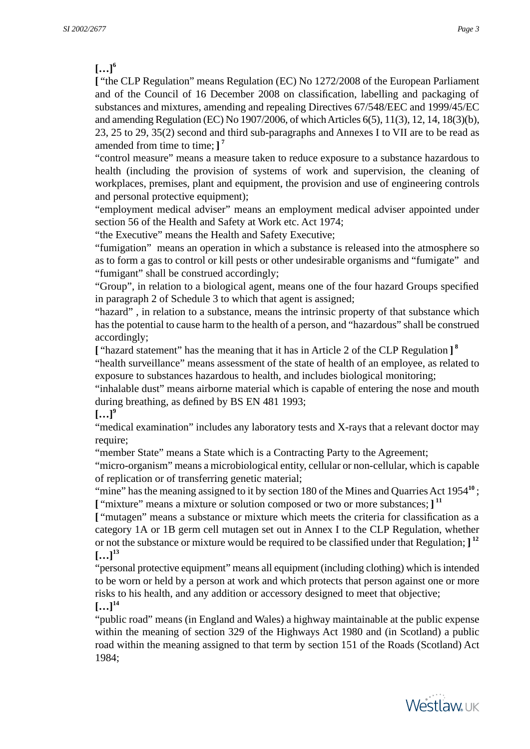$\left[ \ldots \right]^{6}$ 

**[** "the CLP Regulation" means Regulation (EC) No 1272/2008 of the European Parliament and of the Council of 16 December 2008 on classification, labelling and packaging of substances and mixtures, amending and repealing Directives 67/548/EEC and 1999/45/EC and amending Regulation (EC) No 1907/2006, of which Articles 6(5), 11(3), 12, 14, 18(3)(b), 23, 25 to 29, 35(2) second and third sub-paragraphs and Annexes I to VII are to be read as amended from time to time; **] 7**

"control measure" means a measure taken to reduce exposure to a substance hazardous to health (including the provision of systems of work and supervision, the cleaning of workplaces, premises, plant and equipment, the provision and use of engineering controls and personal protective equipment);

"employment medical adviser" means an employment medical adviser appointed under section 56 of the Health and Safety at Work etc. Act 1974;

"the Executive" means the Health and Safety Executive;

"fumigation" means an operation in which a substance is released into the atmosphere so as to form a gas to control or kill pests or other undesirable organisms and "fumigate" and "fumigant" shall be construed accordingly;

"Group", in relation to a biological agent, means one of the four hazard Groups specified in paragraph 2 of Schedule 3 to which that agent is assigned;

"hazard" , in relation to a substance, means the intrinsic property of that substance which has the potential to cause harm to the health of a person, and "hazardous" shall be construed accordingly;

**[** "hazard statement" has the meaning that it has in Article 2 of the CLP Regulation **] 8** "health surveillance" means assessment of the state of health of an employee, as related to exposure to substances hazardous to health, and includes biological monitoring;

"inhalable dust" means airborne material which is capable of entering the nose and mouth during breathing, as defined by BS EN 481 1993;

 $\left[$ ...<sup>19</sup>

"medical examination" includes any laboratory tests and X-rays that a relevant doctor may require;

"member State" means a State which is a Contracting Party to the Agreement;

"micro-organism" means a microbiological entity, cellular or non-cellular, which is capable of replication or of transferring genetic material;

"mine" has the meaning assigned to it by section 180 of the Mines and Quarries Act 1954<sup>10</sup>; **[** "mixture" means a mixture or solution composed or two or more substances; **] 11**

**[** "mutagen" means a substance or mixture which meets the criteria for classification as a category 1A or 1B germ cell mutagen set out in Annex I to the CLP Regulation, whether or not the substance or mixture would be required to be classified under that Regulation; **] 12**  $[...]^{13}$ 

"personal protective equipment" means all equipment (including clothing) which is intended to be worn or held by a person at work and which protects that person against one or more risks to his health, and any addition or accessory designed to meet that objective;  $\left[... \right]^{14}$ 

"public road" means (in England and Wales) a highway maintainable at the public expense within the meaning of section 329 of the Highways Act 1980 and (in Scotland) a public road within the meaning assigned to that term by section 151 of the Roads (Scotland) Act 1984;

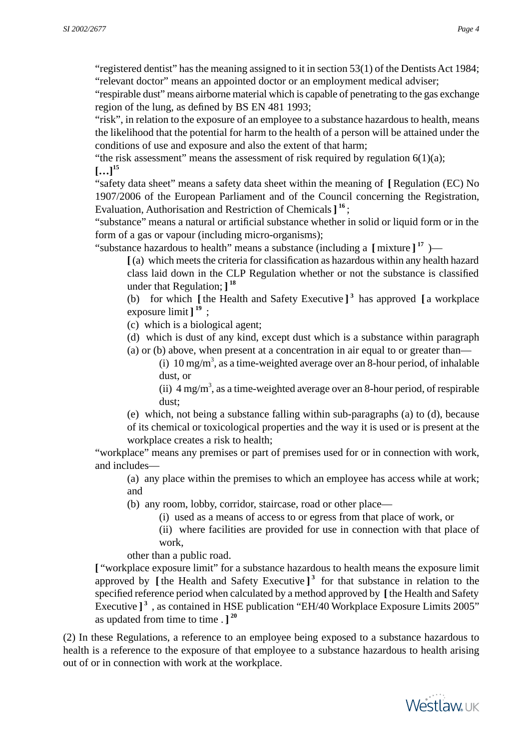"registered dentist" has the meaning assigned to it in section 53(1) of the Dentists Act 1984; "relevant doctor" means an appointed doctor or an employment medical adviser;

"respirable dust" means airborne material which is capable of penetrating to the gas exchange region of the lung, as defined by BS EN 481 1993;

"risk", in relation to the exposure of an employee to a substance hazardous to health, means the likelihood that the potential for harm to the health of a person will be attained under the conditions of use and exposure and also the extent of that harm;

"the risk assessment" means the assessment of risk required by regulation  $6(1)(a)$ ;  $[...]^{15}$ 

"safety data sheet" means a safety data sheet within the meaning of **[**Regulation (EC) No 1907/2006 of the European Parliament and of the Council concerning the Registration, Evaluation, Authorisation and Restriction of Chemicals**] 16** ;

"substance" means a natural or artificial substance whether in solid or liquid form or in the form of a gas or vapour (including micro-organisms);

"substance hazardous to health" means a substance (including a **[** mixture **] <sup>17</sup>** )—

**[**(a) which meets the criteria for classification as hazardous within any health hazard class laid down in the CLP Regulation whether or not the substance is classified under that Regulation; **] 18**

(b) for which **[** the Health and Safety Executive **] 3** has approved **[** a workplace exposure limit **] <sup>19</sup>** ;

(c) which is a biological agent;

(d) which is dust of any kind, except dust which is a substance within paragraph

(a) or (b) above, when present at a concentration in air equal to or greater than—

(i)  $10 \text{ mg/m}^3$ , as a time-weighted average over an 8-hour period, of inhalable dust, or

(ii)  $4 \text{ mg/m}^3$ , as a time-weighted average over an 8-hour period, of respirable dust;

(e) which, not being a substance falling within sub-paragraphs (a) to (d), because of its chemical or toxicological properties and the way it is used or is present at the workplace creates a risk to health;

"workplace" means any premises or part of premises used for or in connection with work, and includes—

(a) any place within the premises to which an employee has access while at work; and

(b) any room, lobby, corridor, staircase, road or other place—

(i) used as a means of access to or egress from that place of work, or

(ii) where facilities are provided for use in connection with that place of work,

other than a public road.

**[** "workplace exposure limit" for a substance hazardous to health means the exposure limit approved by **[** the Health and Safety Executive **] 3** for that substance in relation to the specified reference period when calculated by a method approved by **[**the Health and Safety Executive ]<sup>3</sup>, as contained in HSE publication "EH/40 Workplace Exposure Limits 2005" as updated from time to time . **] 20**

(2) In these Regulations, a reference to an employee being exposed to a substance hazardous to health is a reference to the exposure of that employee to a substance hazardous to health arising out of or in connection with work at the workplace.

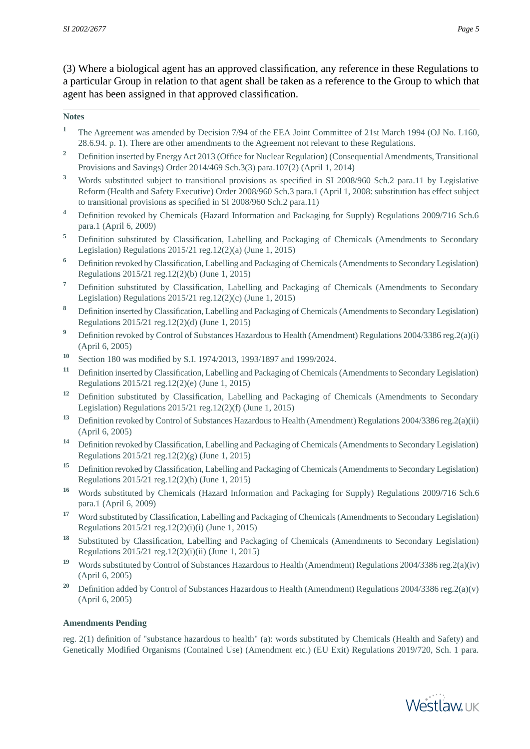(3) Where a biological agent has an approved classification, any reference in these Regulations to a particular Group in relation to that agent shall be taken as a reference to the Group to which that agent has been assigned in that approved classification.

#### **Notes**

- <sup>1</sup> The Agreement was amended by Decision 7/94 of the EEA Joint Committee of 21st March 1994 (OJ No. L160, 28.6.94. p. 1). There are other amendments to the Agreement not relevant to these Regulations.
- <sup>2</sup> Definition inserted by Energy Act 2013 (Office for Nuclear Regulation) (Consequential Amendments, Transitional Provisions and Savings) Order 2014/469 Sch.3(3) para.107(2) (April 1, 2014)
- **<sup>3</sup>** Words substituted subject to transitional provisions as specified in SI 2008/960 Sch.2 para.11 by Legislative Reform (Health and Safety Executive) Order 2008/960 Sch.3 para.1 (April 1, 2008: substitution has effect subject to transitional provisions as specified in SI 2008/960 Sch.2 para.11)
- **<sup>4</sup>** Definition revoked by Chemicals (Hazard Information and Packaging for Supply) Regulations 2009/716 Sch.6 para.1 (April 6, 2009)
- <sup>5</sup> Definition substituted by Classification, Labelling and Packaging of Chemicals (Amendments to Secondary Legislation) Regulations 2015/21 reg.12(2)(a) (June 1, 2015)
- **<sup>6</sup>** Definition revoked by Classification, Labelling and Packaging of Chemicals (Amendments to Secondary Legislation) Regulations 2015/21 reg.12(2)(b) (June 1, 2015)
- **<sup>7</sup>** Definition substituted by Classification, Labelling and Packaging of Chemicals (Amendments to Secondary Legislation) Regulations 2015/21 reg.12(2)(c) (June 1, 2015)
- **<sup>8</sup>** Definition inserted by Classification, Labelling and Packaging of Chemicals (Amendments to Secondary Legislation) Regulations 2015/21 reg.12(2)(d) (June 1, 2015)
- <sup>9</sup> Definition revoked by Control of Substances Hazardous to Health (Amendment) Regulations 2004/3386 reg.2(a)(i) (April 6, 2005)
- **<sup>10</sup>** Section 180 was modified by S.I. 1974/2013, 1993/1897 and 1999/2024.
- **<sup>11</sup>** Definition inserted by Classification, Labelling and Packaging of Chemicals (Amendments to Secondary Legislation) Regulations 2015/21 reg.12(2)(e) (June 1, 2015)
- <sup>12</sup> Definition substituted by Classification, Labelling and Packaging of Chemicals (Amendments to Secondary Legislation) Regulations 2015/21 reg.12(2)(f) (June 1, 2015)
- **<sup>13</sup>** Definition revoked by Control of Substances Hazardous to Health (Amendment) Regulations 2004/3386 reg.2(a)(ii) (April 6, 2005)
- **<sup>14</sup>** Definition revoked by Classification, Labelling and Packaging of Chemicals (Amendments to Secondary Legislation) Regulations 2015/21 reg.12(2)(g) (June 1, 2015)
- **<sup>15</sup>** Definition revoked by Classification, Labelling and Packaging of Chemicals (Amendments to Secondary Legislation) Regulations 2015/21 reg.12(2)(h) (June 1, 2015)
- <sup>16</sup> Words substituted by Chemicals (Hazard Information and Packaging for Supply) Regulations 2009/716 Sch.6 para.1 (April 6, 2009)
- **<sup>17</sup>** Word substituted by Classification, Labelling and Packaging of Chemicals (Amendments to Secondary Legislation) Regulations 2015/21 reg.12(2)(i)(i) (June 1, 2015)
- **<sup>18</sup>** Substituted by Classification, Labelling and Packaging of Chemicals (Amendments to Secondary Legislation) Regulations 2015/21 reg.12(2)(i)(ii) (June 1, 2015)
- **<sup>19</sup>** Words substituted by Control of Substances Hazardous to Health (Amendment) Regulations 2004/3386 reg.2(a)(iv) (April 6, 2005)
- <sup>20</sup> Definition added by Control of Substances Hazardous to Health (Amendment) Regulations 2004/3386 reg.2(a)(v) (April 6, 2005)

#### **Amendments Pending**

reg. 2(1) definition of "substance hazardous to health" (a): words substituted by Chemicals (Health and Safety) and Genetically Modified Organisms (Contained Use) (Amendment etc.) (EU Exit) Regulations 2019/720, Sch. 1 para.

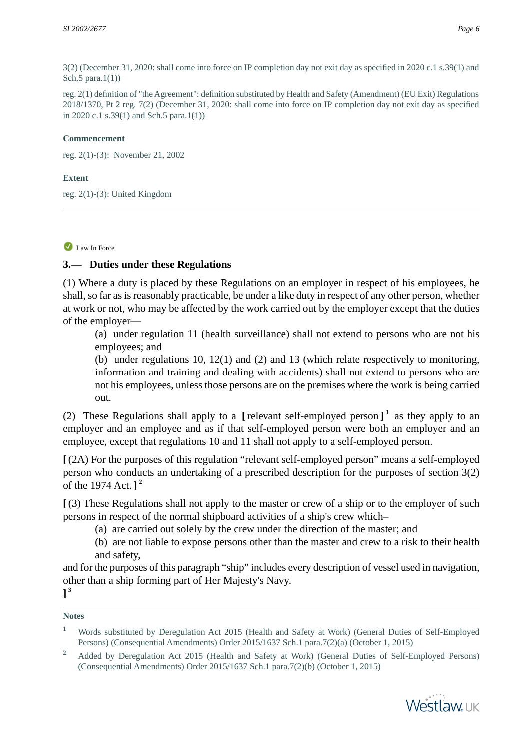3(2) (December 31, 2020: shall come into force on IP completion day not exit day as specified in 2020 c.1 s.39(1) and Sch.5 para.1(1))

reg. 2(1) definition of "the Agreement": definition substituted by Health and Safety (Amendment) (EU Exit) Regulations 2018/1370, Pt 2 reg. 7(2) (December 31, 2020: shall come into force on IP completion day not exit day as specified in 2020 c.1 s.39(1) and Sch.5 para.1(1))

#### **Commencement**

reg. 2(1)-(3): November 21, 2002

#### **Extent**

<span id="page-5-0"></span>reg. 2(1)-(3): United Kingdom

#### Law In Force

### **3.— Duties under these Regulations**

(1) Where a duty is placed by these Regulations on an employer in respect of his employees, he shall, so far as is reasonably practicable, be under a like duty in respect of any other person, whether at work or not, who may be affected by the work carried out by the employer except that the duties of the employer—

(a) under regulation 11 (health surveillance) shall not extend to persons who are not his employees; and

(b) under regulations 10, 12(1) and (2) and 13 (which relate respectively to monitoring, information and training and dealing with accidents) shall not extend to persons who are not his employees, unless those persons are on the premises where the work is being carried out.

(2) These Regulations shall apply to a **[** relevant self-employed person **] 1** as they apply to an employer and an employee and as if that self-employed person were both an employer and an employee, except that regulations 10 and 11 shall not apply to a self-employed person.

**[** (2A) For the purposes of this regulation "relevant self-employed person" means a self-employed person who conducts an undertaking of a prescribed description for the purposes of section 3(2) of the 1974 Act. **] 2**

**[** (3) These Regulations shall not apply to the master or crew of a ship or to the employer of such persons in respect of the normal shipboard activities of a ship's crew which–

- (a) are carried out solely by the crew under the direction of the master; and
- (b) are not liable to expose persons other than the master and crew to a risk to their health and safety,

and for the purposes of this paragraph "ship" includes every description of vessel used in navigation, other than a ship forming part of Her Majesty's Navy.

## **] 3**

#### **Notes**

- **<sup>1</sup>** Words substituted by Deregulation Act 2015 (Health and Safety at Work) (General Duties of Self-Employed Persons) (Consequential Amendments) Order 2015/1637 Sch.1 para.7(2)(a) (October 1, 2015)
- <sup>2</sup> Added by Deregulation Act 2015 (Health and Safety at Work) (General Duties of Self-Employed Persons) (Consequential Amendments) Order 2015/1637 Sch.1 para.7(2)(b) (October 1, 2015)

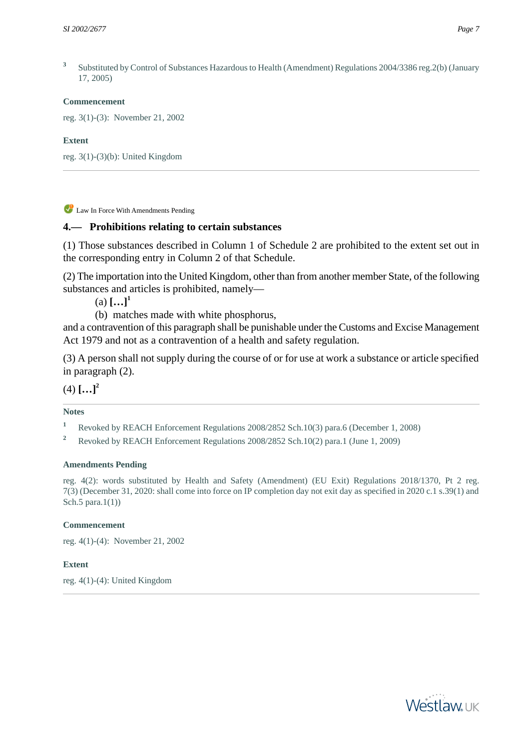**3** Substituted by Control of Substances Hazardous to Health (Amendment) Regulations 2004/3386 reg.2(b) (January 17, 2005)

#### **Commencement**

reg. 3(1)-(3): November 21, 2002

#### **Extent**

<span id="page-6-0"></span>reg. 3(1)-(3)(b): United Kingdom

Law In Force With Amendments Pending

## **4.— Prohibitions relating to certain substances**

(1) Those substances described in Column 1 of Schedule 2 are prohibited to the extent set out in the corresponding entry in Column 2 of that Schedule.

(2) The importation into the United Kingdom, other than from another member State, of the following substances and articles is prohibited, namely—

 $(a)$   $[...]$ <sup>1</sup>

(b) matches made with white phosphorus,

and a contravention of this paragraph shall be punishable under the Customs and Excise Management Act 1979 and not as a contravention of a health and safety regulation.

(3) A person shall not supply during the course of or for use at work a substance or article specified in paragraph (2).

 $(4)$   $[...]^2$ 

### **Notes**

**<sup>1</sup>** Revoked by REACH Enforcement Regulations 2008/2852 Sch.10(3) para.6 (December 1, 2008)

**<sup>2</sup>** Revoked by REACH Enforcement Regulations 2008/2852 Sch.10(2) para.1 (June 1, 2009)

#### **Amendments Pending**

reg. 4(2): words substituted by Health and Safety (Amendment) (EU Exit) Regulations 2018/1370, Pt 2 reg. 7(3) (December 31, 2020: shall come into force on IP completion day not exit day as specified in 2020 c.1 s.39(1) and Sch.5 para. $1(1)$ )

### **Commencement**

<span id="page-6-1"></span>reg. 4(1)-(4): November 21, 2002

### **Extent**

reg. 4(1)-(4): United Kingdom

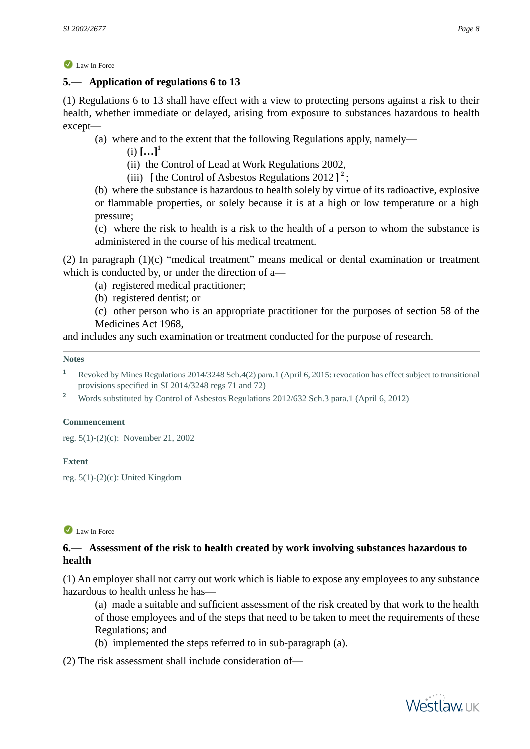## **5.— Application of regulations 6 to 13**

(1) Regulations 6 to 13 shall have effect with a view to protecting persons against a risk to their health, whether immediate or delayed, arising from exposure to substances hazardous to health except—

- (a) where and to the extent that the following Regulations apply, namely—
	- $(i)$   $[...]$ <sup>1</sup>

(ii) the Control of Lead at Work Regulations 2002,

(iii) **[** the Control of Asbestos Regulations 2012 **] 2** ;

(b) where the substance is hazardous to health solely by virtue of its radioactive, explosive or flammable properties, or solely because it is at a high or low temperature or a high pressure;

(c) where the risk to health is a risk to the health of a person to whom the substance is administered in the course of his medical treatment.

(2) In paragraph (1)(c) "medical treatment" means medical or dental examination or treatment which is conducted by, or under the direction of a—

(a) registered medical practitioner;

(b) registered dentist; or

(c) other person who is an appropriate practitioner for the purposes of section 58 of the Medicines Act 1968,

and includes any such examination or treatment conducted for the purpose of research.

#### **Notes**

**<sup>1</sup>** Revoked by Mines Regulations 2014/3248 Sch.4(2) para.1 (April 6, 2015: revocation has effect subject to transitional provisions specified in SI 2014/3248 regs 71 and 72)

<sup>2</sup> Words substituted by Control of Asbestos Regulations 2012/632 Sch.3 para.1 (April 6, 2012)

#### **Commencement**

<span id="page-7-0"></span>reg. 5(1)-(2)(c): November 21, 2002

#### **Extent**

reg. 5(1)-(2)(c): United Kingdom

#### Law In Force

## **6.— Assessment of the risk to health created by work involving substances hazardous to health**

(1) An employer shall not carry out work which is liable to expose any employees to any substance hazardous to health unless he has—

(a) made a suitable and sufficient assessment of the risk created by that work to the health of those employees and of the steps that need to be taken to meet the requirements of these Regulations; and

(b) implemented the steps referred to in sub-paragraph (a).

(2) The risk assessment shall include consideration of—

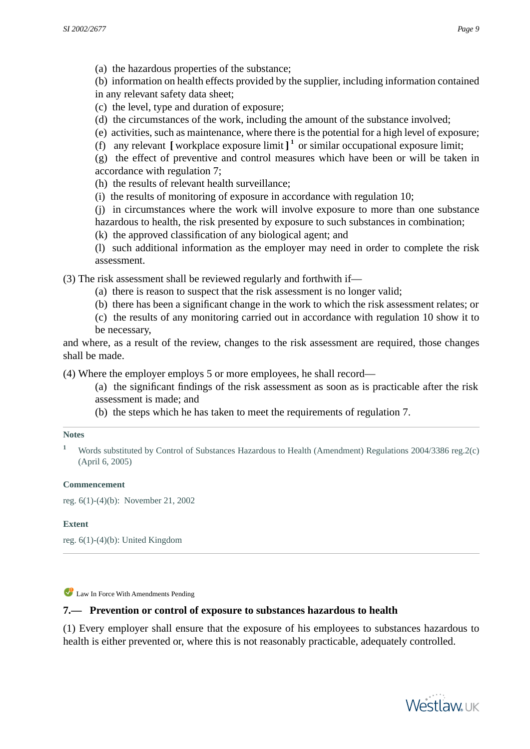(b) information on health effects provided by the supplier, including information contained in any relevant safety data sheet;

- (c) the level, type and duration of exposure;
- (d) the circumstances of the work, including the amount of the substance involved;
- (e) activities, such as maintenance, where there is the potential for a high level of exposure;
- (f) any relevant **[** workplace exposure limit **] 1** or similar occupational exposure limit;

(g) the effect of preventive and control measures which have been or will be taken in accordance with regulation 7;

- (h) the results of relevant health surveillance;
- (i) the results of monitoring of exposure in accordance with regulation 10;

(j) in circumstances where the work will involve exposure to more than one substance hazardous to health, the risk presented by exposure to such substances in combination;

- (k) the approved classification of any biological agent; and
- (l) such additional information as the employer may need in order to complete the risk assessment.

(3) The risk assessment shall be reviewed regularly and forthwith if—

- (a) there is reason to suspect that the risk assessment is no longer valid;
- (b) there has been a significant change in the work to which the risk assessment relates; or
- (c) the results of any monitoring carried out in accordance with regulation 10 show it to be necessary,

and where, as a result of the review, changes to the risk assessment are required, those changes shall be made.

(4) Where the employer employs 5 or more employees, he shall record—

- (a) the significant findings of the risk assessment as soon as is practicable after the risk assessment is made; and
- (b) the steps which he has taken to meet the requirements of regulation 7.

#### **Notes**

<sup>1</sup> Words substituted by Control of Substances Hazardous to Health (Amendment) Regulations 2004/3386 reg.2(c) (April 6, 2005)

### **Commencement**

<span id="page-8-0"></span>reg. 6(1)-(4)(b): November 21, 2002

#### **Extent**

reg. 6(1)-(4)(b): United Kingdom

Law In Force With Amendments Pending

### **7.— Prevention or control of exposure to substances hazardous to health**

(1) Every employer shall ensure that the exposure of his employees to substances hazardous to health is either prevented or, where this is not reasonably practicable, adequately controlled.

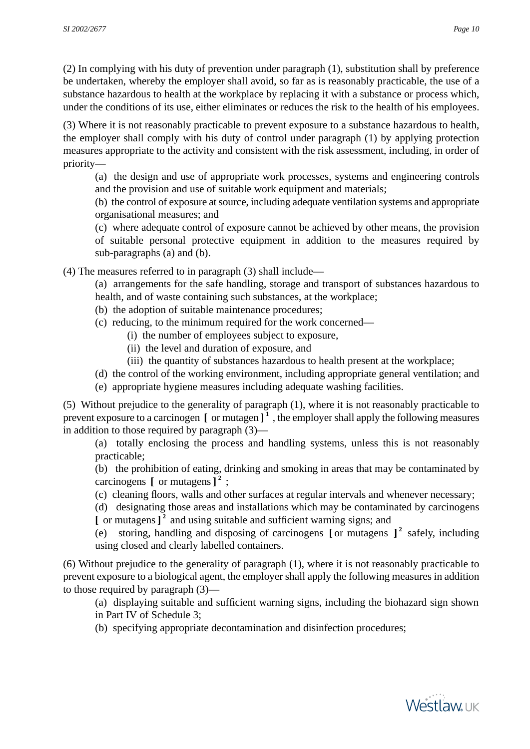(2) In complying with his duty of prevention under paragraph (1), substitution shall by preference be undertaken, whereby the employer shall avoid, so far as is reasonably practicable, the use of a substance hazardous to health at the workplace by replacing it with a substance or process which, under the conditions of its use, either eliminates or reduces the risk to the health of his employees.

(3) Where it is not reasonably practicable to prevent exposure to a substance hazardous to health, the employer shall comply with his duty of control under paragraph (1) by applying protection measures appropriate to the activity and consistent with the risk assessment, including, in order of priority—

(a) the design and use of appropriate work processes, systems and engineering controls and the provision and use of suitable work equipment and materials;

(b) the control of exposure at source, including adequate ventilation systems and appropriate organisational measures; and

(c) where adequate control of exposure cannot be achieved by other means, the provision of suitable personal protective equipment in addition to the measures required by sub-paragraphs (a) and (b).

(4) The measures referred to in paragraph (3) shall include—

(a) arrangements for the safe handling, storage and transport of substances hazardous to health, and of waste containing such substances, at the workplace;

- (b) the adoption of suitable maintenance procedures;
- (c) reducing, to the minimum required for the work concerned—
	- (i) the number of employees subject to exposure,
		- (ii) the level and duration of exposure, and
		- (iii) the quantity of substances hazardous to health present at the workplace;
- (d) the control of the working environment, including appropriate general ventilation; and
- (e) appropriate hygiene measures including adequate washing facilities.

(5) Without prejudice to the generality of paragraph (1), where it is not reasonably practicable to prevent exposure to a carcinogen **[** or mutagen **] 1** , the employer shall apply the following measures in addition to those required by paragraph (3)—

(a) totally enclosing the process and handling systems, unless this is not reasonably practicable;

(b) the prohibition of eating, drinking and smoking in areas that may be contaminated by carcinogens **[** or mutagens**] 2** ;

(c) cleaning floors, walls and other surfaces at regular intervals and whenever necessary;

(d) designating those areas and installations which may be contaminated by carcinogens **[** or mutagens**] 2** and using suitable and sufficient warning signs; and

(e) storing, handling and disposing of carcinogens **[** or mutagens **] 2** safely, including using closed and clearly labelled containers.

(6) Without prejudice to the generality of paragraph (1), where it is not reasonably practicable to prevent exposure to a biological agent, the employer shall apply the following measures in addition to those required by paragraph (3)—

- (a) displaying suitable and sufficient warning signs, including the biohazard sign shown in Part IV of Schedule 3;
- (b) specifying appropriate decontamination and disinfection procedures;

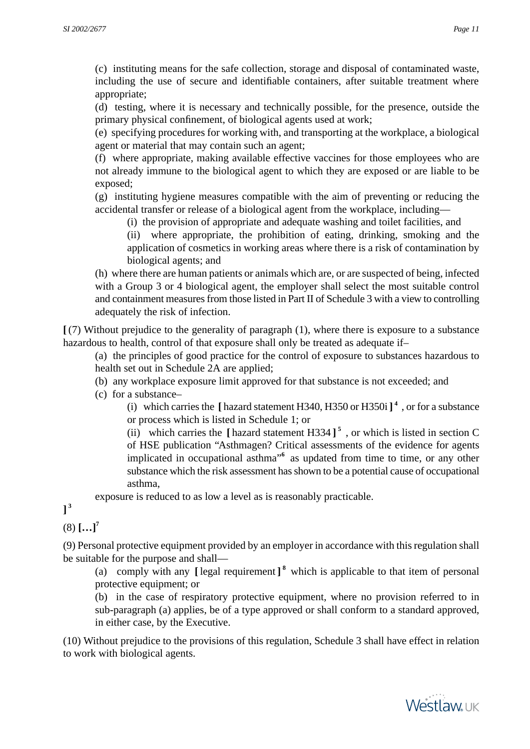(c) instituting means for the safe collection, storage and disposal of contaminated waste, including the use of secure and identifiable containers, after suitable treatment where appropriate;

(d) testing, where it is necessary and technically possible, for the presence, outside the primary physical confinement, of biological agents used at work;

(e) specifying procedures for working with, and transporting at the workplace, a biological agent or material that may contain such an agent;

(f) where appropriate, making available effective vaccines for those employees who are not already immune to the biological agent to which they are exposed or are liable to be exposed;

(g) instituting hygiene measures compatible with the aim of preventing or reducing the accidental transfer or release of a biological agent from the workplace, including—

(i) the provision of appropriate and adequate washing and toilet facilities, and

(ii) where appropriate, the prohibition of eating, drinking, smoking and the application of cosmetics in working areas where there is a risk of contamination by biological agents; and

(h) where there are human patients or animals which are, or are suspected of being, infected with a Group 3 or 4 biological agent, the employer shall select the most suitable control and containment measures from those listed in Part II of Schedule 3 with a view to controlling adequately the risk of infection.

**[** (7) Without prejudice to the generality of paragraph (1), where there is exposure to a substance hazardous to health, control of that exposure shall only be treated as adequate if–

(a) the principles of good practice for the control of exposure to substances hazardous to health set out in Schedule 2A are applied;

- (b) any workplace exposure limit approved for that substance is not exceeded; and
- (c) for a substance–

(i) which carries the **[** hazard statement H340, H350 or H350i**] 4** , or for a substance or process which is listed in Schedule 1; or

(ii) which carries the  $\left[\right]$  hazard statement H334  $\left]\right]$ <sup>5</sup>, or which is listed in section C of HSE publication "Asthmagen? Critical assessments of the evidence for agents implicated in occupational asthma<sup>"6</sup> as updated from time to time, or any other substance which the risk assessment has shown to be a potential cause of occupational asthma,

exposure is reduced to as low a level as is reasonably practicable.

**] 3**

(8) **[…]<sup>7</sup>**

(9) Personal protective equipment provided by an employer in accordance with this regulation shall be suitable for the purpose and shall—

(a) comply with any **[** legal requirement **] 8** which is applicable to that item of personal protective equipment; or

(b) in the case of respiratory protective equipment, where no provision referred to in sub-paragraph (a) applies, be of a type approved or shall conform to a standard approved, in either case, by the Executive.

(10) Without prejudice to the provisions of this regulation, Schedule 3 shall have effect in relation to work with biological agents.

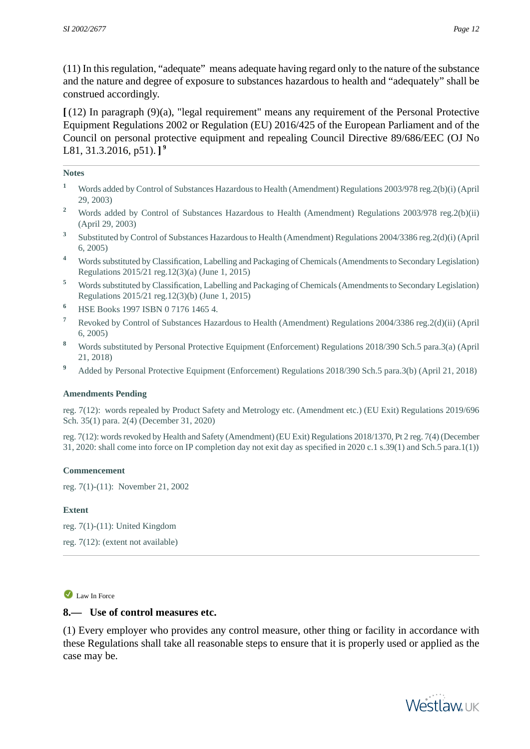(11) In this regulation, "adequate" means adequate having regard only to the nature of the substance and the nature and degree of exposure to substances hazardous to health and "adequately" shall be construed accordingly.

**[** (12) In paragraph (9)(a), "legal requirement" means any requirement of the Personal Protective Equipment Regulations 2002 or Regulation (EU) 2016/425 of the European Parliament and of the Council on personal protective equipment and repealing Council Directive 89/686/EEC (OJ No L81, 31.3.2016, p51). **] 9**

#### **Notes**

- **<sup>1</sup>** Words added by Control of Substances Hazardous to Health (Amendment) Regulations 2003/978 reg.2(b)(i) (April 29, 2003)
- <sup>2</sup> Words added by Control of Substances Hazardous to Health (Amendment) Regulations 2003/978 reg.2(b)(ii) (April 29, 2003)
- **3** Substituted by Control of Substances Hazardous to Health (Amendment) Regulations 2004/3386 reg.2(d)(i) (April 6, 2005)
- **<sup>4</sup>** Words substituted by Classification, Labelling and Packaging of Chemicals (Amendments to Secondary Legislation) Regulations 2015/21 reg.12(3)(a) (June 1, 2015)
- **<sup>5</sup>** Words substituted by Classification, Labelling and Packaging of Chemicals (Amendments to Secondary Legislation) Regulations 2015/21 reg.12(3)(b) (June 1, 2015)
- **<sup>6</sup>** HSE Books 1997 ISBN 0 7176 1465 4.
- **<sup>7</sup>** Revoked by Control of Substances Hazardous to Health (Amendment) Regulations 2004/3386 reg.2(d)(ii) (April 6, 2005)
- **<sup>8</sup>** Words substituted by Personal Protective Equipment (Enforcement) Regulations 2018/390 Sch.5 para.3(a) (April 21, 2018)
- <sup>9</sup> Added by Personal Protective Equipment (Enforcement) Regulations 2018/390 Sch.5 para.3(b) (April 21, 2018)

#### **Amendments Pending**

reg. 7(12): words repealed by Product Safety and Metrology etc. (Amendment etc.) (EU Exit) Regulations 2019/696 Sch. 35(1) para. 2(4) (December 31, 2020)

reg. 7(12): words revoked by Health and Safety (Amendment) (EU Exit) Regulations 2018/1370, Pt 2 reg. 7(4) (December 31, 2020: shall come into force on IP completion day not exit day as specified in 2020 c.1 s.39(1) and Sch.5 para.1(1))

#### **Commencement**

reg. 7(1)-(11): November 21, 2002

#### <span id="page-11-0"></span>**Extent**

reg. 7(1)-(11): United Kingdom reg. 7(12): (extent not available)

#### Law In Force

### **8.— Use of control measures etc.**

(1) Every employer who provides any control measure, other thing or facility in accordance with these Regulations shall take all reasonable steps to ensure that it is properly used or applied as the case may be.

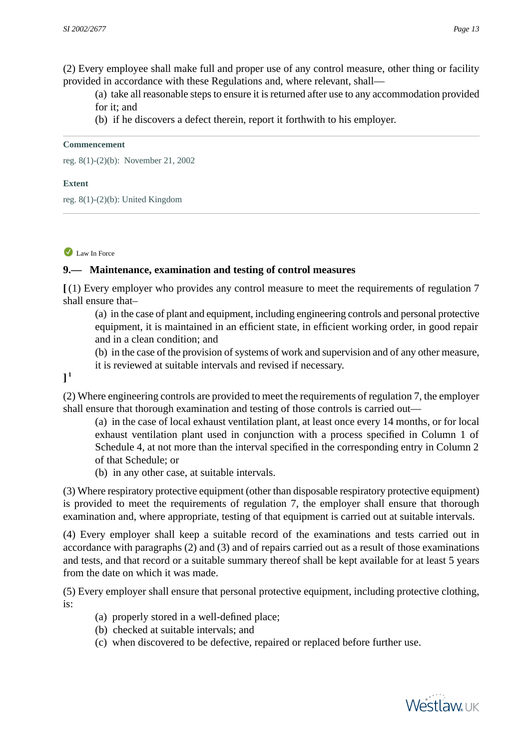(2) Every employee shall make full and proper use of any control measure, other thing or facility provided in accordance with these Regulations and, where relevant, shall—

(a) take all reasonable steps to ensure it is returned after use to any accommodation provided for it; and

(b) if he discovers a defect therein, report it forthwith to his employer.

#### **Commencement**

reg. 8(1)-(2)(b): November 21, 2002

#### **Extent**

<span id="page-12-0"></span>reg. 8(1)-(2)(b): United Kingdom

## Law In Force

## **9.— Maintenance, examination and testing of control measures**

**[** (1) Every employer who provides any control measure to meet the requirements of regulation 7 shall ensure that–

(a) in the case of plant and equipment, including engineering controls and personal protective equipment, it is maintained in an efficient state, in efficient working order, in good repair and in a clean condition; and

(b) in the case of the provision of systems of work and supervision and of any other measure, it is reviewed at suitable intervals and revised if necessary.

**] 1**

(2) Where engineering controls are provided to meet the requirements of regulation 7, the employer shall ensure that thorough examination and testing of those controls is carried out—

(a) in the case of local exhaust ventilation plant, at least once every 14 months, or for local exhaust ventilation plant used in conjunction with a process specified in Column 1 of Schedule 4, at not more than the interval specified in the corresponding entry in Column 2 of that Schedule; or

(b) in any other case, at suitable intervals.

(3) Where respiratory protective equipment (other than disposable respiratory protective equipment) is provided to meet the requirements of regulation 7, the employer shall ensure that thorough examination and, where appropriate, testing of that equipment is carried out at suitable intervals.

(4) Every employer shall keep a suitable record of the examinations and tests carried out in accordance with paragraphs (2) and (3) and of repairs carried out as a result of those examinations and tests, and that record or a suitable summary thereof shall be kept available for at least 5 years from the date on which it was made.

(5) Every employer shall ensure that personal protective equipment, including protective clothing, is:

- (a) properly stored in a well-defined place;
- (b) checked at suitable intervals; and
- (c) when discovered to be defective, repaired or replaced before further use.

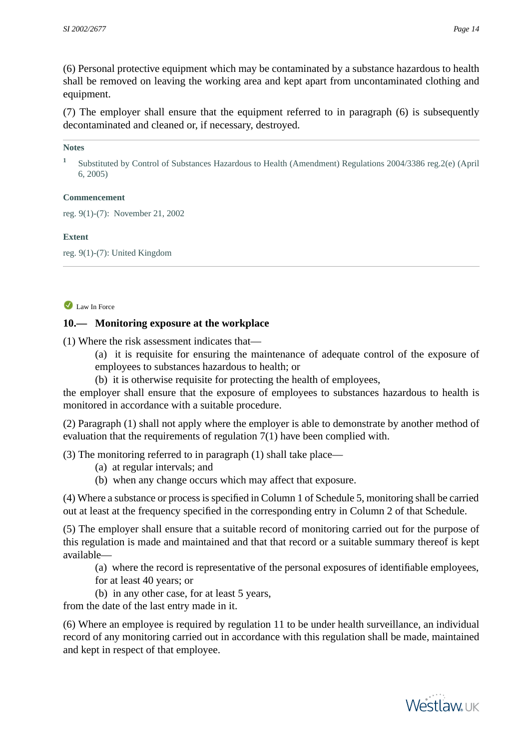(6) Personal protective equipment which may be contaminated by a substance hazardous to health shall be removed on leaving the working area and kept apart from uncontaminated clothing and equipment.

(7) The employer shall ensure that the equipment referred to in paragraph (6) is subsequently decontaminated and cleaned or, if necessary, destroyed.

#### **Notes**

**1** Substituted by Control of Substances Hazardous to Health (Amendment) Regulations 2004/3386 reg.2(e) (April 6, 2005)

### **Commencement**

reg. 9(1)-(7): November 21, 2002

### **Extent**

<span id="page-13-0"></span>reg. 9(1)-(7): United Kingdom

### Law In Force

## **10.— Monitoring exposure at the workplace**

(1) Where the risk assessment indicates that—

- (a) it is requisite for ensuring the maintenance of adequate control of the exposure of employees to substances hazardous to health; or
- (b) it is otherwise requisite for protecting the health of employees,

the employer shall ensure that the exposure of employees to substances hazardous to health is monitored in accordance with a suitable procedure.

(2) Paragraph (1) shall not apply where the employer is able to demonstrate by another method of evaluation that the requirements of regulation 7(1) have been complied with.

(3) The monitoring referred to in paragraph (1) shall take place—

- (a) at regular intervals; and
- (b) when any change occurs which may affect that exposure.

(4) Where a substance or process is specified in Column 1 of Schedule 5, monitoring shall be carried out at least at the frequency specified in the corresponding entry in Column 2 of that Schedule.

(5) The employer shall ensure that a suitable record of monitoring carried out for the purpose of this regulation is made and maintained and that that record or a suitable summary thereof is kept available—

(a) where the record is representative of the personal exposures of identifiable employees,

- for at least 40 years; or
- (b) in any other case, for at least 5 years,

from the date of the last entry made in it.

(6) Where an employee is required by regulation 11 to be under health surveillance, an individual record of any monitoring carried out in accordance with this regulation shall be made, maintained and kept in respect of that employee.

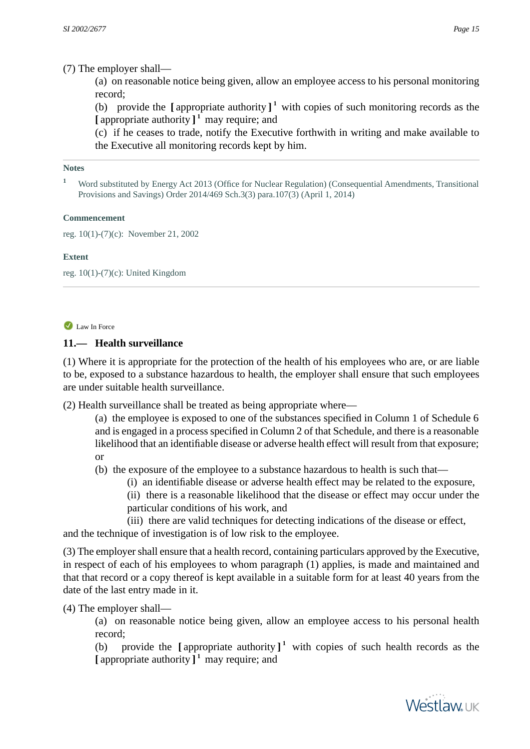## (7) The employer shall—

(a) on reasonable notice being given, allow an employee access to his personal monitoring record;

(b) provide the  $\left[\right]$  appropriate authority  $\right]$ <sup>1</sup> with copies of such monitoring records as the **[** appropriate authority **] 1** may require; and

(c) if he ceases to trade, notify the Executive forthwith in writing and make available to the Executive all monitoring records kept by him.

#### **Notes**

**<sup>1</sup>** Word substituted by Energy Act 2013 (Office for Nuclear Regulation) (Consequential Amendments, Transitional Provisions and Savings) Order 2014/469 Sch.3(3) para.107(3) (April 1, 2014)

#### **Commencement**

reg. 10(1)-(7)(c): November 21, 2002

### **Extent**

<span id="page-14-0"></span>reg. 10(1)-(7)(c): United Kingdom

## Law In Force

## **11.— Health surveillance**

(1) Where it is appropriate for the protection of the health of his employees who are, or are liable to be, exposed to a substance hazardous to health, the employer shall ensure that such employees are under suitable health surveillance.

(2) Health surveillance shall be treated as being appropriate where—

(a) the employee is exposed to one of the substances specified in Column 1 of Schedule 6 and is engaged in a process specified in Column 2 of that Schedule, and there is a reasonable likelihood that an identifiable disease or adverse health effect will result from that exposure; or

(b) the exposure of the employee to a substance hazardous to health is such that—

(i) an identifiable disease or adverse health effect may be related to the exposure,

(ii) there is a reasonable likelihood that the disease or effect may occur under the particular conditions of his work, and

(iii) there are valid techniques for detecting indications of the disease or effect, and the technique of investigation is of low risk to the employee.

(3) The employer shall ensure that a health record, containing particulars approved by the Executive, in respect of each of his employees to whom paragraph (1) applies, is made and maintained and that that record or a copy thereof is kept available in a suitable form for at least 40 years from the date of the last entry made in it.

(4) The employer shall—

(a) on reasonable notice being given, allow an employee access to his personal health record;

(b) provide the **[** appropriate authority **] 1** with copies of such health records as the **[** appropriate authority **] 1** may require; and

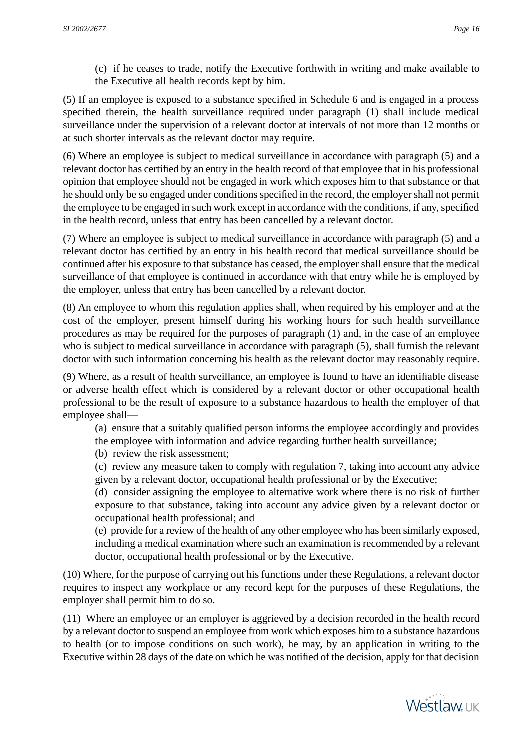(c) if he ceases to trade, notify the Executive forthwith in writing and make available to the Executive all health records kept by him.

(5) If an employee is exposed to a substance specified in Schedule 6 and is engaged in a process specified therein, the health surveillance required under paragraph (1) shall include medical surveillance under the supervision of a relevant doctor at intervals of not more than 12 months or at such shorter intervals as the relevant doctor may require.

(6) Where an employee is subject to medical surveillance in accordance with paragraph (5) and a relevant doctor has certified by an entry in the health record of that employee that in his professional opinion that employee should not be engaged in work which exposes him to that substance or that he should only be so engaged under conditions specified in the record, the employer shall not permit the employee to be engaged in such work except in accordance with the conditions, if any, specified in the health record, unless that entry has been cancelled by a relevant doctor.

(7) Where an employee is subject to medical surveillance in accordance with paragraph (5) and a relevant doctor has certified by an entry in his health record that medical surveillance should be continued after his exposure to that substance has ceased, the employer shall ensure that the medical surveillance of that employee is continued in accordance with that entry while he is employed by the employer, unless that entry has been cancelled by a relevant doctor.

(8) An employee to whom this regulation applies shall, when required by his employer and at the cost of the employer, present himself during his working hours for such health surveillance procedures as may be required for the purposes of paragraph (1) and, in the case of an employee who is subject to medical surveillance in accordance with paragraph (5), shall furnish the relevant doctor with such information concerning his health as the relevant doctor may reasonably require.

(9) Where, as a result of health surveillance, an employee is found to have an identifiable disease or adverse health effect which is considered by a relevant doctor or other occupational health professional to be the result of exposure to a substance hazardous to health the employer of that employee shall—

- (a) ensure that a suitably qualified person informs the employee accordingly and provides the employee with information and advice regarding further health surveillance;
- (b) review the risk assessment;
- (c) review any measure taken to comply with regulation 7, taking into account any advice given by a relevant doctor, occupational health professional or by the Executive;

(d) consider assigning the employee to alternative work where there is no risk of further exposure to that substance, taking into account any advice given by a relevant doctor or occupational health professional; and

(e) provide for a review of the health of any other employee who has been similarly exposed, including a medical examination where such an examination is recommended by a relevant doctor, occupational health professional or by the Executive.

(10) Where, for the purpose of carrying out his functions under these Regulations, a relevant doctor requires to inspect any workplace or any record kept for the purposes of these Regulations, the employer shall permit him to do so.

(11) Where an employee or an employer is aggrieved by a decision recorded in the health record by a relevant doctor to suspend an employee from work which exposes him to a substance hazardous to health (or to impose conditions on such work), he may, by an application in writing to the Executive within 28 days of the date on which he was notified of the decision, apply for that decision

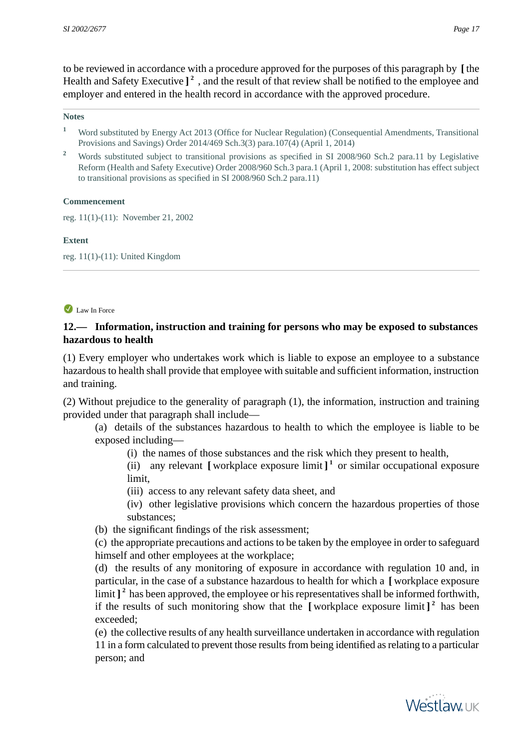to be reviewed in accordance with a procedure approved for the purposes of this paragraph by **[** the Health and Safety Executive ]<sup>2</sup>, and the result of that review shall be notified to the employee and employer and entered in the health record in accordance with the approved procedure.

#### **Notes**

- **<sup>1</sup>** Word substituted by Energy Act 2013 (Office for Nuclear Regulation) (Consequential Amendments, Transitional Provisions and Savings) Order 2014/469 Sch.3(3) para.107(4) (April 1, 2014)
- **<sup>2</sup>** Words substituted subject to transitional provisions as specified in SI 2008/960 Sch.2 para.11 by Legislative Reform (Health and Safety Executive) Order 2008/960 Sch.3 para.1 (April 1, 2008: substitution has effect subject to transitional provisions as specified in SI 2008/960 Sch.2 para.11)

#### **Commencement**

reg. 11(1)-(11): November 21, 2002

#### **Extent**

<span id="page-16-0"></span>reg. 11(1)-(11): United Kingdom

#### Law In Force

## **12.— Information, instruction and training for persons who may be exposed to substances hazardous to health**

(1) Every employer who undertakes work which is liable to expose an employee to a substance hazardous to health shall provide that employee with suitable and sufficient information, instruction and training.

(2) Without prejudice to the generality of paragraph (1), the information, instruction and training provided under that paragraph shall include—

(a) details of the substances hazardous to health to which the employee is liable to be exposed including—

(i) the names of those substances and the risk which they present to health,

(ii) any relevant  $\left[\right]$  workplace exposure limit  $\left]$ <sup>1</sup> or similar occupational exposure limit,

- (iii) access to any relevant safety data sheet, and
- (iv) other legislative provisions which concern the hazardous properties of those substances;

(b) the significant findings of the risk assessment;

(c) the appropriate precautions and actions to be taken by the employee in order to safeguard himself and other employees at the workplace;

(d) the results of any monitoring of exposure in accordance with regulation 10 and, in particular, in the case of a substance hazardous to health for which a **[** workplace exposure limit ]<sup>2</sup> has been approved, the employee or his representatives shall be informed forthwith, if the results of such monitoring show that the **[** workplace exposure limit **] 2** has been exceeded;

(e) the collective results of any health surveillance undertaken in accordance with regulation 11 in a form calculated to prevent those results from being identified as relating to a particular person; and

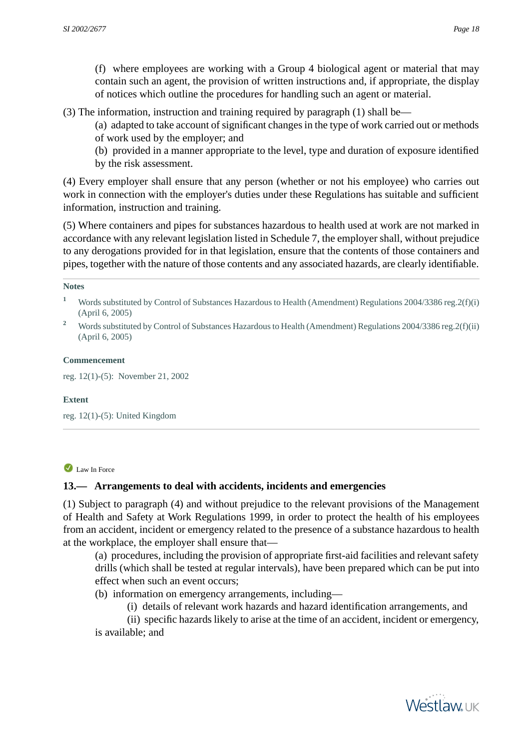(f) where employees are working with a Group 4 biological agent or material that may contain such an agent, the provision of written instructions and, if appropriate, the display of notices which outline the procedures for handling such an agent or material.

(3) The information, instruction and training required by paragraph (1) shall be—

(a) adapted to take account of significant changes in the type of work carried out or methods of work used by the employer; and

(b) provided in a manner appropriate to the level, type and duration of exposure identified by the risk assessment.

(4) Every employer shall ensure that any person (whether or not his employee) who carries out work in connection with the employer's duties under these Regulations has suitable and sufficient information, instruction and training.

(5) Where containers and pipes for substances hazardous to health used at work are not marked in accordance with any relevant legislation listed in Schedule 7, the employer shall, without prejudice to any derogations provided for in that legislation, ensure that the contents of those containers and pipes, together with the nature of those contents and any associated hazards, are clearly identifiable.

#### **Notes**

- **<sup>1</sup>** Words substituted by Control of Substances Hazardous to Health (Amendment) Regulations 2004/3386 reg.2(f)(i) (April 6, 2005)
- <sup>2</sup> Words substituted by Control of Substances Hazardous to Health (Amendment) Regulations 2004/3386 reg. 2(f)(ii) (April 6, 2005)

#### **Commencement**

reg. 12(1)-(5): November 21, 2002

#### <span id="page-17-0"></span>**Extent**

reg. 12(1)-(5): United Kingdom

### Law In Force

## **13.— Arrangements to deal with accidents, incidents and emergencies**

(1) Subject to paragraph (4) and without prejudice to the relevant provisions of the Management of Health and Safety at Work Regulations 1999, in order to protect the health of his employees from an accident, incident or emergency related to the presence of a substance hazardous to health at the workplace, the employer shall ensure that—

(a) procedures, including the provision of appropriate first-aid facilities and relevant safety drills (which shall be tested at regular intervals), have been prepared which can be put into effect when such an event occurs;

(b) information on emergency arrangements, including—

(i) details of relevant work hazards and hazard identification arrangements, and

(ii) specific hazards likely to arise at the time of an accident, incident or emergency, is available; and

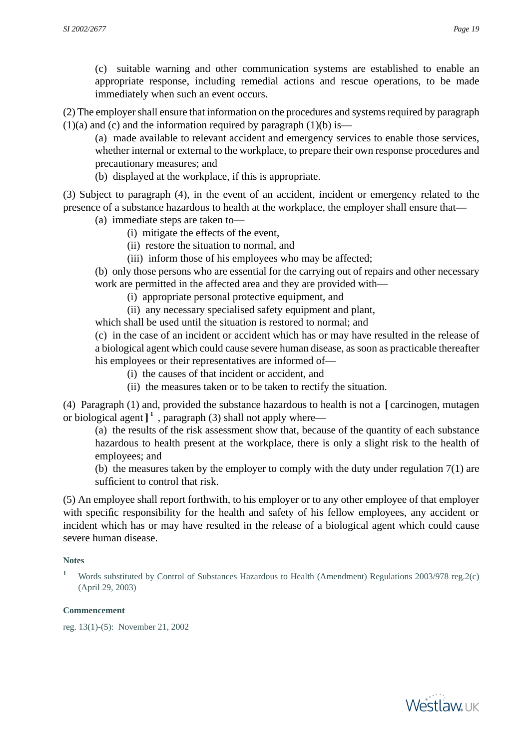(c) suitable warning and other communication systems are established to enable an appropriate response, including remedial actions and rescue operations, to be made immediately when such an event occurs.

(2) The employer shall ensure that information on the procedures and systems required by paragraph  $(1)(a)$  and  $(c)$  and the information required by paragraph  $(1)(b)$  is—

(a) made available to relevant accident and emergency services to enable those services, whether internal or external to the workplace, to prepare their own response procedures and precautionary measures; and

(b) displayed at the workplace, if this is appropriate.

(3) Subject to paragraph (4), in the event of an accident, incident or emergency related to the presence of a substance hazardous to health at the workplace, the employer shall ensure that—

- (a) immediate steps are taken to—
	- (i) mitigate the effects of the event,
	- (ii) restore the situation to normal, and
	- (iii) inform those of his employees who may be affected;

(b) only those persons who are essential for the carrying out of repairs and other necessary work are permitted in the affected area and they are provided with—

- (i) appropriate personal protective equipment, and
- (ii) any necessary specialised safety equipment and plant,

which shall be used until the situation is restored to normal; and

(c) in the case of an incident or accident which has or may have resulted in the release of a biological agent which could cause severe human disease, as soon as practicable thereafter his employees or their representatives are informed of—

- (i) the causes of that incident or accident, and
- (ii) the measures taken or to be taken to rectify the situation.

(4) Paragraph (1) and, provided the substance hazardous to health is not a **[** carcinogen, mutagen or biological agent **] 1** , paragraph (3) shall not apply where—

(a) the results of the risk assessment show that, because of the quantity of each substance hazardous to health present at the workplace, there is only a slight risk to the health of employees; and

(b) the measures taken by the employer to comply with the duty under regulation 7(1) are sufficient to control that risk.

(5) An employee shall report forthwith, to his employer or to any other employee of that employer with specific responsibility for the health and safety of his fellow employees, any accident or incident which has or may have resulted in the release of a biological agent which could cause severe human disease.

#### **Notes**

#### **Commencement**

reg. 13(1)-(5): November 21, 2002



**<sup>1</sup>** Words substituted by Control of Substances Hazardous to Health (Amendment) Regulations 2003/978 reg.2(c) (April 29, 2003)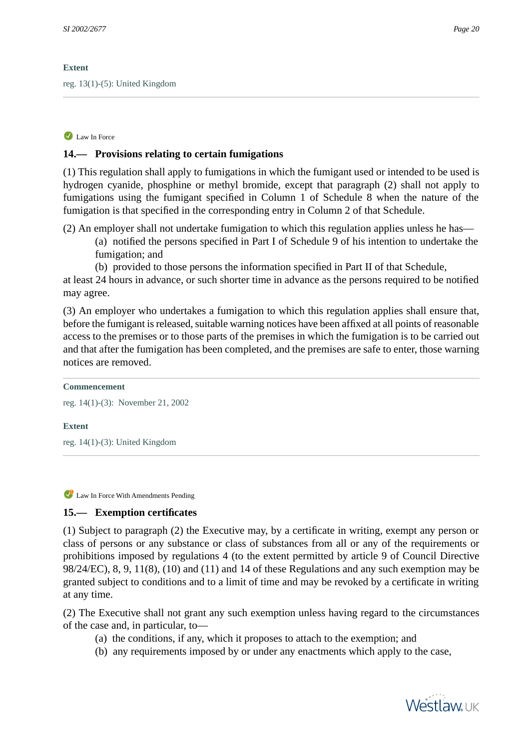### **Extent**

<span id="page-19-0"></span>reg. 13(1)-(5): United Kingdom

## Law In Force

## **14.— Provisions relating to certain fumigations**

(1) This regulation shall apply to fumigations in which the fumigant used or intended to be used is hydrogen cyanide, phosphine or methyl bromide, except that paragraph (2) shall not apply to fumigations using the fumigant specified in Column 1 of Schedule 8 when the nature of the fumigation is that specified in the corresponding entry in Column 2 of that Schedule.

- (2) An employer shall not undertake fumigation to which this regulation applies unless he has—
	- (a) notified the persons specified in Part I of Schedule 9 of his intention to undertake the fumigation; and
	- (b) provided to those persons the information specified in Part II of that Schedule,

at least 24 hours in advance, or such shorter time in advance as the persons required to be notified may agree.

(3) An employer who undertakes a fumigation to which this regulation applies shall ensure that, before the fumigant is released, suitable warning notices have been affixed at all points of reasonable access to the premises or to those parts of the premises in which the fumigation is to be carried out and that after the fumigation has been completed, and the premises are safe to enter, those warning notices are removed.

#### **Commencement**

```
reg. 14(1)-(3): November 21, 2002
```
### <span id="page-19-1"></span>**Extent**

reg. 14(1)-(3): United Kingdom

Law In Force With Amendments Pending

## **15.— Exemption certificates**

(1) Subject to paragraph (2) the Executive may, by a certificate in writing, exempt any person or class of persons or any substance or class of substances from all or any of the requirements or prohibitions imposed by regulations 4 (to the extent permitted by article 9 of Council Directive 98/24/EC), 8, 9, 11(8), (10) and (11) and 14 of these Regulations and any such exemption may be granted subject to conditions and to a limit of time and may be revoked by a certificate in writing at any time.

(2) The Executive shall not grant any such exemption unless having regard to the circumstances of the case and, in particular, to—

- (a) the conditions, if any, which it proposes to attach to the exemption; and
- (b) any requirements imposed by or under any enactments which apply to the case,

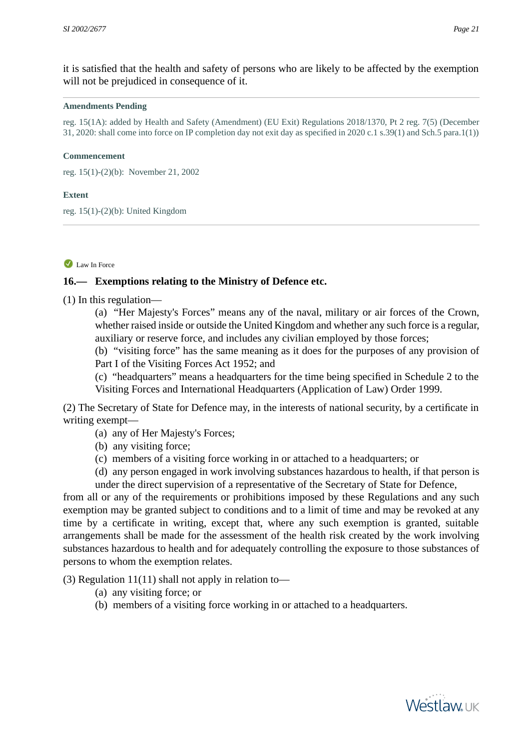it is satisfied that the health and safety of persons who are likely to be affected by the exemption will not be prejudiced in consequence of it.

#### **Amendments Pending**

reg. 15(1A): added by Health and Safety (Amendment) (EU Exit) Regulations 2018/1370, Pt 2 reg. 7(5) (December 31, 2020: shall come into force on IP completion day not exit day as specified in 2020 c.1 s.39(1) and Sch.5 para.1(1))

#### **Commencement**

reg. 15(1)-(2)(b): November 21, 2002

#### **Extent**

<span id="page-20-0"></span>reg. 15(1)-(2)(b): United Kingdom

#### Law In Force

#### **16.— Exemptions relating to the Ministry of Defence etc.**

(1) In this regulation—

(a) "Her Majesty's Forces" means any of the naval, military or air forces of the Crown, whether raised inside or outside the United Kingdom and whether any such force is a regular, auxiliary or reserve force, and includes any civilian employed by those forces;

(b) "visiting force" has the same meaning as it does for the purposes of any provision of Part I of the Visiting Forces Act 1952; and

(c) "headquarters" means a headquarters for the time being specified in Schedule 2 to the Visiting Forces and International Headquarters (Application of Law) Order 1999.

(2) The Secretary of State for Defence may, in the interests of national security, by a certificate in writing exempt—

- (a) any of Her Majesty's Forces;
- (b) any visiting force;
- (c) members of a visiting force working in or attached to a headquarters; or
- (d) any person engaged in work involving substances hazardous to health, if that person is
- under the direct supervision of a representative of the Secretary of State for Defence,

from all or any of the requirements or prohibitions imposed by these Regulations and any such exemption may be granted subject to conditions and to a limit of time and may be revoked at any time by a certificate in writing, except that, where any such exemption is granted, suitable arrangements shall be made for the assessment of the health risk created by the work involving substances hazardous to health and for adequately controlling the exposure to those substances of persons to whom the exemption relates.

(3) Regulation  $11(11)$  shall not apply in relation to—

- (a) any visiting force; or
- (b) members of a visiting force working in or attached to a headquarters.

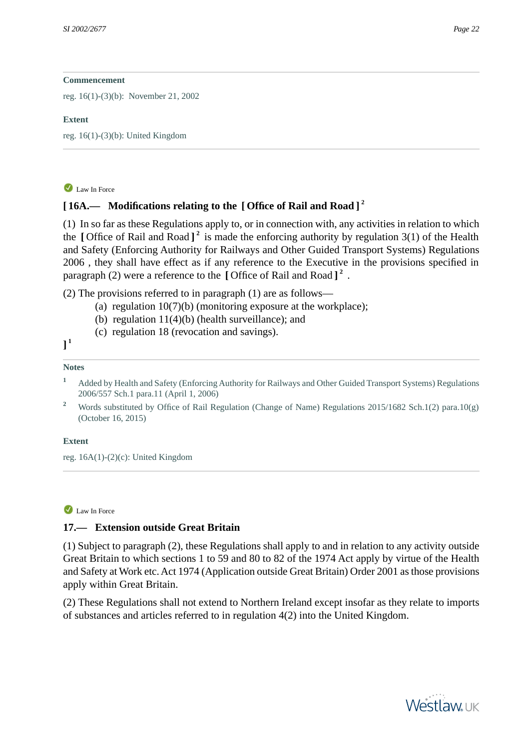reg. 16(1)-(3)(b): November 21, 2002

#### **Extent**

<span id="page-21-0"></span>reg. 16(1)-(3)(b): United Kingdom

## Law In Force

## **[ 16A.— Modifications relating to the [ Office of Rail and Road ] 2**

(1) In so far as these Regulations apply to, or in connection with, any activities in relation to which the **[** Office of Rail and Road **] 2** is made the enforcing authority by regulation 3(1) of the Health and Safety (Enforcing Authority for Railways and Other Guided Transport Systems) Regulations 2006 , they shall have effect as if any reference to the Executive in the provisions specified in paragraph (2) were a reference to the **[** Office of Rail and Road **] 2** .

(2) The provisions referred to in paragraph (1) are as follows—

- (a) regulation  $10(7)(b)$  (monitoring exposure at the workplace);
- (b) regulation 11(4)(b) (health surveillance); and
- (c) regulation 18 (revocation and savings).

## **] 1**

## **Notes**

- **<sup>1</sup>** Added by Health and Safety (Enforcing Authority for Railways and Other Guided Transport Systems) Regulations 2006/557 Sch.1 para.11 (April 1, 2006)
- <sup>2</sup> Words substituted by Office of Rail Regulation (Change of Name) Regulations 2015/1682 Sch.1(2) para.10(g) (October 16, 2015)

### <span id="page-21-1"></span>**Extent**

reg. 16A(1)-(2)(c): United Kingdom

### Law In Force

## **17.— Extension outside Great Britain**

(1) Subject to paragraph (2), these Regulations shall apply to and in relation to any activity outside Great Britain to which sections 1 to 59 and 80 to 82 of the 1974 Act apply by virtue of the Health and Safety at Work etc. Act 1974 (Application outside Great Britain) Order 2001 as those provisions apply within Great Britain.

(2) These Regulations shall not extend to Northern Ireland except insofar as they relate to imports of substances and articles referred to in regulation 4(2) into the United Kingdom.

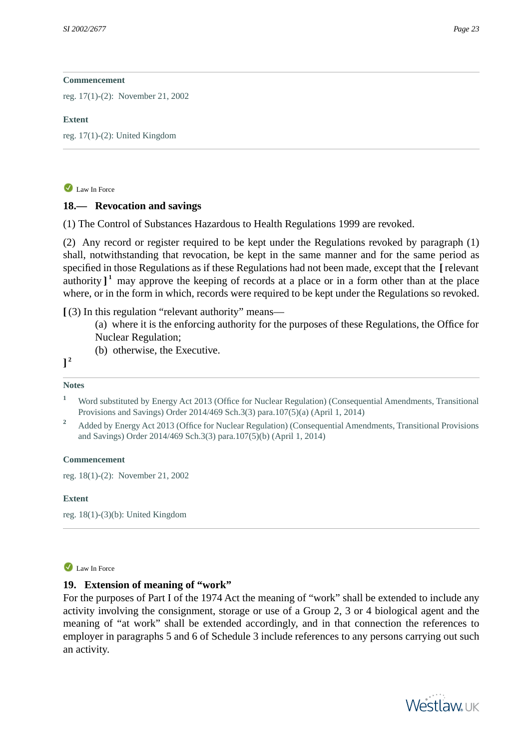reg. 17(1)-(2): November 21, 2002

#### **Extent**

<span id="page-22-0"></span>reg. 17(1)-(2): United Kingdom

### Law In Force

## **18.— Revocation and savings**

(1) The Control of Substances Hazardous to Health Regulations 1999 are revoked.

(2) Any record or register required to be kept under the Regulations revoked by paragraph (1) shall, notwithstanding that revocation, be kept in the same manner and for the same period as specified in those Regulations as if these Regulations had not been made, except that the **[** relevant authority  $\int_1^1$  may approve the keeping of records at a place or in a form other than at the place where, or in the form in which, records were required to be kept under the Regulations so revoked.

**[** (3) In this regulation "relevant authority" means—

(a) where it is the enforcing authority for the purposes of these Regulations, the Office for Nuclear Regulation;

(b) otherwise, the Executive.

**] 2**

### **Notes**

**<sup>1</sup>** Word substituted by Energy Act 2013 (Office for Nuclear Regulation) (Consequential Amendments, Transitional Provisions and Savings) Order 2014/469 Sch.3(3) para.107(5)(a) (April 1, 2014)

**<sup>2</sup>** Added by Energy Act 2013 (Office for Nuclear Regulation) (Consequential Amendments, Transitional Provisions and Savings) Order 2014/469 Sch.3(3) para.107(5)(b) (April 1, 2014)

### **Commencement**

<span id="page-22-1"></span>reg. 18(1)-(2): November 21, 2002

### **Extent**

reg. 18(1)-(3)(b): United Kingdom

### Law In Force

## **19. Extension of meaning of "work"**

For the purposes of Part I of the 1974 Act the meaning of "work" shall be extended to include any activity involving the consignment, storage or use of a Group 2, 3 or 4 biological agent and the meaning of "at work" shall be extended accordingly, and in that connection the references to employer in paragraphs 5 and 6 of Schedule 3 include references to any persons carrying out such an activity.

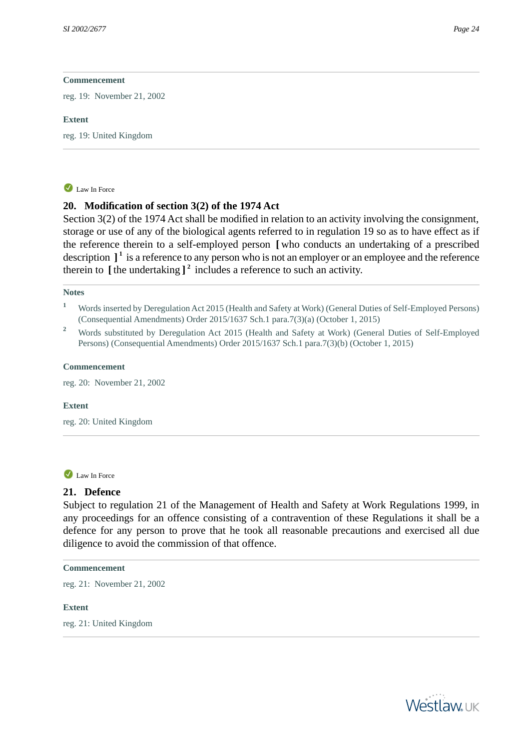reg. 19: November 21, 2002

#### **Extent**

<span id="page-23-0"></span>reg. 19: United Kingdom

#### Law In Force

### **20. Modification of section 3(2) of the 1974 Act**

Section 3(2) of the 1974 Act shall be modified in relation to an activity involving the consignment, storage or use of any of the biological agents referred to in regulation 19 so as to have effect as if the reference therein to a self-employed person **[** who conducts an undertaking of a prescribed description **] 1** is a reference to any person who is not an employer or an employee and the reference therein to **[** the undertaking **] 2** includes a reference to such an activity.

#### **Notes**

- <sup>1</sup> Words inserted by Deregulation Act 2015 (Health and Safety at Work) (General Duties of Self-Employed Persons) (Consequential Amendments) Order 2015/1637 Sch.1 para.7(3)(a) (October 1, 2015)
- <sup>2</sup> Words substituted by Deregulation Act 2015 (Health and Safety at Work) (General Duties of Self-Employed Persons) (Consequential Amendments) Order 2015/1637 Sch.1 para.7(3)(b) (October 1, 2015)

#### **Commencement**

reg. 20: November 21, 2002

#### <span id="page-23-1"></span>**Extent**

reg. 20: United Kingdom

#### Law In Force

### **21. Defence**

Subject to regulation 21 of the Management of Health and Safety at Work Regulations 1999, in any proceedings for an offence consisting of a contravention of these Regulations it shall be a defence for any person to prove that he took all reasonable precautions and exercised all due diligence to avoid the commission of that offence.

#### **Commencement**

<span id="page-23-2"></span>reg. 21: November 21, 2002

#### **Extent**

reg. 21: United Kingdom

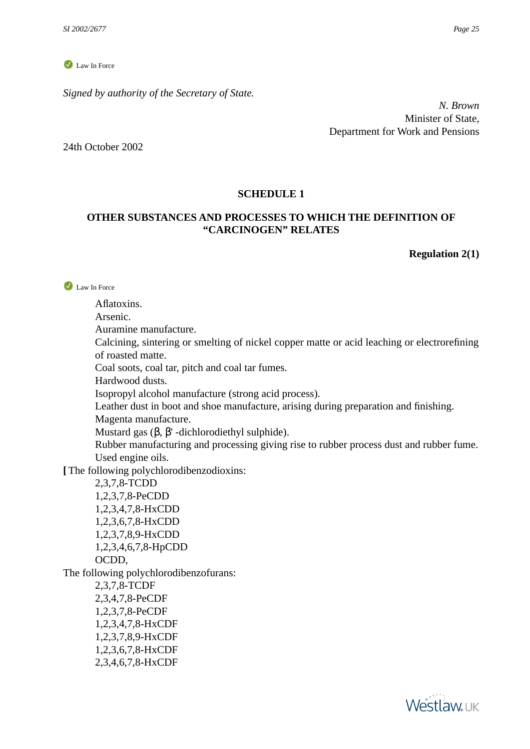*Signed by authority of the Secretary of State.*

*N. Brown* Minister of State, Department for Work and Pensions

<span id="page-24-0"></span>24th October 2002

## **SCHEDULE 1**

## <span id="page-24-1"></span>**OTHER SUBSTANCES AND PROCESSES TO WHICH THE DEFINITION OF "CARCINOGEN" RELATES**

### **Regulation 2(1)**

I aw In Force

Aflatoxins.

Arsenic.

Auramine manufacture.

Calcining, sintering or smelting of nickel copper matte or acid leaching or electrorefining of roasted matte.

Coal soots, coal tar, pitch and coal tar fumes.

Hardwood dusts.

Isopropyl alcohol manufacture (strong acid process).

Leather dust in boot and shoe manufacture, arising during preparation and finishing.

Magenta manufacture.

Mustard gas  $(β, β'$  -dichlorodiethyl sulphide).

Rubber manufacturing and processing giving rise to rubber process dust and rubber fume. Used engine oils.

**[** The following polychlorodibenzodioxins:

2,3,7,8-TCDD 1,2,3,7,8-PeCDD 1,2,3,4,7,8-HxCDD 1,2,3,6,7,8-HxCDD 1,2,3,7,8,9-HxCDD 1,2,3,4,6,7,8-HpCDD OCDD,

The following polychlorodibenzofurans:

2,3,7,8-TCDF 2,3,4,7,8-PeCDF 1,2,3,7,8-PeCDF 1,2,3,4,7,8-HxCDF 1,2,3,7,8,9-HxCDF 1,2,3,6,7,8-HxCDF 2,3,4,6,7,8-HxCDF

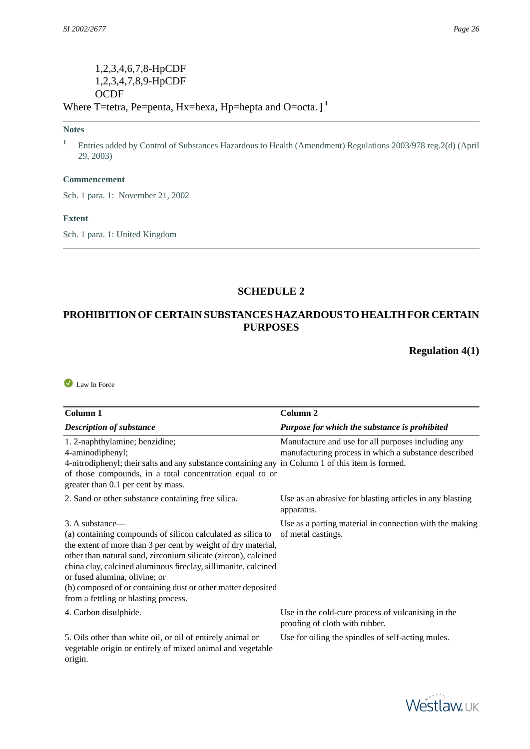## 1,2,3,4,6,7,8-HpCDF 1,2,3,4,7,8,9-HpCDF **OCDF** Where T=tetra, Pe=penta, Hx=hexa, Hp=hepta and O=octa. **] 1**

#### **Notes**

**<sup>1</sup>** Entries added by Control of Substances Hazardous to Health (Amendment) Regulations 2003/978 reg.2(d) (April 29, 2003)

#### **Commencement**

Sch. 1 para. 1: November 21, 2002

#### **Extent**

<span id="page-25-0"></span>Sch. 1 para. 1: United Kingdom

#### **SCHEDULE 2**

## <span id="page-25-1"></span>**PROHIBITION OF CERTAIN SUBSTANCES HAZARDOUS TO HEALTH FOR CERTAIN PURPOSES**

**Regulation 4(1)**

Law In Force

| Column 1                                                                                                                                                                                                                                                                                                                                                                                                                     | Column <sub>2</sub>                                                                                        |
|------------------------------------------------------------------------------------------------------------------------------------------------------------------------------------------------------------------------------------------------------------------------------------------------------------------------------------------------------------------------------------------------------------------------------|------------------------------------------------------------------------------------------------------------|
| <b>Description of substance</b>                                                                                                                                                                                                                                                                                                                                                                                              | Purpose for which the substance is prohibited                                                              |
| 1. 2-naphthylamine; benzidine;<br>4-aminodiphenyl;<br>4-nitrodiphenyl; their salts and any substance containing any in Column 1 of this item is formed.<br>of those compounds, in a total concentration equal to or<br>greater than 0.1 per cent by mass.                                                                                                                                                                    | Manufacture and use for all purposes including any<br>manufacturing process in which a substance described |
| 2. Sand or other substance containing free silica.                                                                                                                                                                                                                                                                                                                                                                           | Use as an abrasive for blasting articles in any blasting<br>apparatus.                                     |
| 3. A substance—<br>(a) containing compounds of silicon calculated as silica to<br>the extent of more than 3 per cent by weight of dry material,<br>other than natural sand, zirconium silicate (zircon), calcined<br>china clay, calcined aluminous fireclay, sillimanite, calcined<br>or fused alumina, olivine; or<br>(b) composed of or containing dust or other matter deposited<br>from a fettling or blasting process. | Use as a parting material in connection with the making<br>of metal castings.                              |
| 4. Carbon disulphide.                                                                                                                                                                                                                                                                                                                                                                                                        | Use in the cold-cure process of vulcanising in the<br>proofing of cloth with rubber.                       |
| 5. Oils other than white oil, or oil of entirely animal or<br>vegetable origin or entirely of mixed animal and vegetable<br>origin.                                                                                                                                                                                                                                                                                          | Use for oiling the spindles of self-acting mules.                                                          |

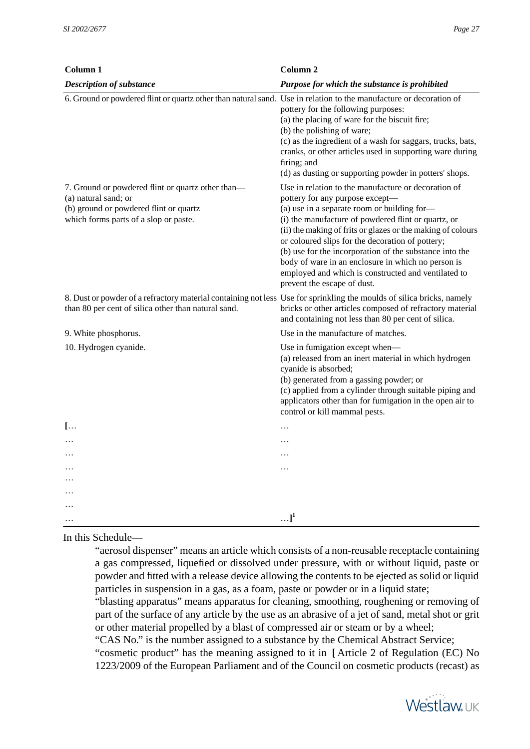| Column 1                                                                                                                                                                     | Column <sub>2</sub>                                                                                                                                                                                                                                                                                                                                                                                                                                                                                                    |
|------------------------------------------------------------------------------------------------------------------------------------------------------------------------------|------------------------------------------------------------------------------------------------------------------------------------------------------------------------------------------------------------------------------------------------------------------------------------------------------------------------------------------------------------------------------------------------------------------------------------------------------------------------------------------------------------------------|
| <b>Description of substance</b>                                                                                                                                              | Purpose for which the substance is prohibited                                                                                                                                                                                                                                                                                                                                                                                                                                                                          |
| 6. Ground or powdered flint or quartz other than natural sand. Use in relation to the manufacture or decoration of                                                           | pottery for the following purposes:<br>(a) the placing of ware for the biscuit fire;<br>(b) the polishing of ware;<br>(c) as the ingredient of a wash for saggars, trucks, bats,<br>cranks, or other articles used in supporting ware during<br>firing; and<br>(d) as dusting or supporting powder in potters' shops.                                                                                                                                                                                                  |
| 7. Ground or powdered flint or quartz other than—<br>(a) natural sand; or<br>(b) ground or powdered flint or quartz<br>which forms parts of a slop or paste.                 | Use in relation to the manufacture or decoration of<br>pottery for any purpose except-<br>(a) use in a separate room or building for-<br>(i) the manufacture of powdered flint or quartz, or<br>(ii) the making of frits or glazes or the making of colours<br>or coloured slips for the decoration of pottery;<br>(b) use for the incorporation of the substance into the<br>body of ware in an enclosure in which no person is<br>employed and which is constructed and ventilated to<br>prevent the escape of dust. |
| 8. Dust or powder of a refractory material containing not less Use for sprinkling the moulds of silica bricks, namely<br>than 80 per cent of silica other than natural sand. | bricks or other articles composed of refractory material<br>and containing not less than 80 per cent of silica.                                                                                                                                                                                                                                                                                                                                                                                                        |
| 9. White phosphorus.                                                                                                                                                         | Use in the manufacture of matches.                                                                                                                                                                                                                                                                                                                                                                                                                                                                                     |
| 10. Hydrogen cyanide.                                                                                                                                                        | Use in fumigation except when-<br>(a) released from an inert material in which hydrogen<br>cyanide is absorbed;<br>(b) generated from a gassing powder; or<br>(c) applied from a cylinder through suitable piping and<br>applicators other than for fumigation in the open air to<br>control or kill mammal pests.                                                                                                                                                                                                     |
| $[\dots]$                                                                                                                                                                    | $\ddotsc$                                                                                                                                                                                                                                                                                                                                                                                                                                                                                                              |
|                                                                                                                                                                              |                                                                                                                                                                                                                                                                                                                                                                                                                                                                                                                        |
| .                                                                                                                                                                            | $\ddotsc$                                                                                                                                                                                                                                                                                                                                                                                                                                                                                                              |
|                                                                                                                                                                              | .                                                                                                                                                                                                                                                                                                                                                                                                                                                                                                                      |
| .                                                                                                                                                                            |                                                                                                                                                                                                                                                                                                                                                                                                                                                                                                                        |
| .                                                                                                                                                                            |                                                                                                                                                                                                                                                                                                                                                                                                                                                                                                                        |
| .                                                                                                                                                                            | $\ldots$ ] <sup>1</sup>                                                                                                                                                                                                                                                                                                                                                                                                                                                                                                |

### In this Schedule—

"aerosol dispenser" means an article which consists of a non-reusable receptacle containing a gas compressed, liquefied or dissolved under pressure, with or without liquid, paste or powder and fitted with a release device allowing the contents to be ejected as solid or liquid particles in suspension in a gas, as a foam, paste or powder or in a liquid state;

"blasting apparatus" means apparatus for cleaning, smoothing, roughening or removing of part of the surface of any article by the use as an abrasive of a jet of sand, metal shot or grit or other material propelled by a blast of compressed air or steam or by a wheel;

"CAS No." is the number assigned to a substance by the Chemical Abstract Service;

"cosmetic product" has the meaning assigned to it in **[** Article 2 of Regulation (EC) No 1223/2009 of the European Parliament and of the Council on cosmetic products (recast) as

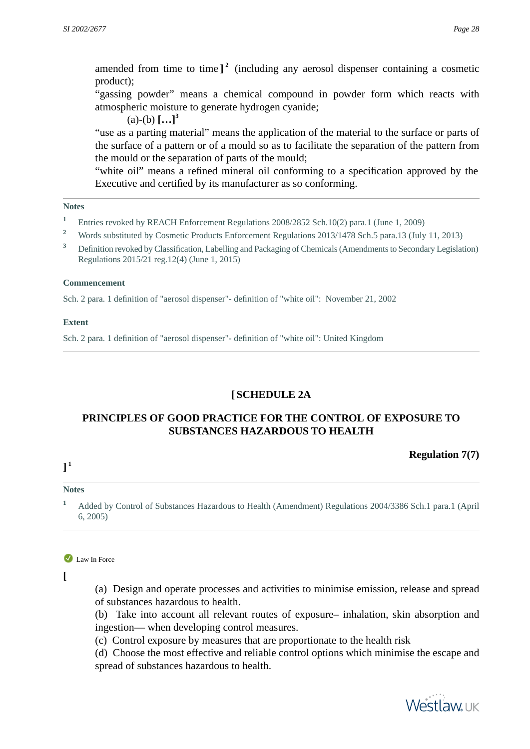amended from time to time **] 2** (including any aerosol dispenser containing a cosmetic product);

"gassing powder" means a chemical compound in powder form which reacts with atmospheric moisture to generate hydrogen cyanide;

 $(a)-(b)$ **[...]**<sup>3</sup>

"use as a parting material" means the application of the material to the surface or parts of the surface of a pattern or of a mould so as to facilitate the separation of the pattern from the mould or the separation of parts of the mould;

"white oil" means a refined mineral oil conforming to a specification approved by the Executive and certified by its manufacturer as so conforming.

#### **Notes**

- <sup>1</sup> Entries revoked by REACH Enforcement Regulations 2008/2852 Sch.10(2) para.1 (June 1, 2009)
- <sup>2</sup> Words substituted by Cosmetic Products Enforcement Regulations 2013/1478 Sch.5 para.13 (July 11, 2013)
- **<sup>3</sup>** Definition revoked by Classification, Labelling and Packaging of Chemicals (Amendments to Secondary Legislation) Regulations 2015/21 reg.12(4) (June 1, 2015)

#### **Commencement**

Sch. 2 para. 1 definition of "aerosol dispenser"- definition of "white oil": November 21, 2002

#### <span id="page-27-0"></span>**Extent**

Sch. 2 para. 1 definition of "aerosol dispenser"- definition of "white oil": United Kingdom

## **[ SCHEDULE 2A**

## **PRINCIPLES OF GOOD PRACTICE FOR THE CONTROL OF EXPOSURE TO SUBSTANCES HAZARDOUS TO HEALTH**

### **Regulation 7(7)**

## **] 1**

#### <span id="page-27-1"></span>**Notes**

**<sup>1</sup>** Added by Control of Substances Hazardous to Health (Amendment) Regulations 2004/3386 Sch.1 para.1 (April 6, 2005)

Law In Force

**[**

(a) Design and operate processes and activities to minimise emission, release and spread of substances hazardous to health.

(b) Take into account all relevant routes of exposure– inhalation, skin absorption and ingestion— when developing control measures.

(c) Control exposure by measures that are proportionate to the health risk

(d) Choose the most effective and reliable control options which minimise the escape and spread of substances hazardous to health.

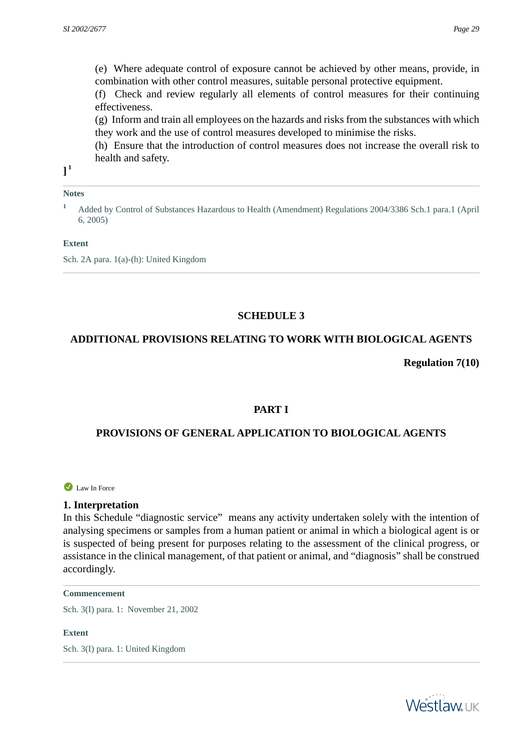(e) Where adequate control of exposure cannot be achieved by other means, provide, in combination with other control measures, suitable personal protective equipment.

(f) Check and review regularly all elements of control measures for their continuing effectiveness.

(g) Inform and train all employees on the hazards and risks from the substances with which they work and the use of control measures developed to minimise the risks.

(h) Ensure that the introduction of control measures does not increase the overall risk to health and safety.

**] 1**

#### **Notes**

**<sup>1</sup>** Added by Control of Substances Hazardous to Health (Amendment) Regulations 2004/3386 Sch.1 para.1 (April 6, 2005)

#### **Extent**

<span id="page-28-0"></span>Sch. 2A para. 1(a)-(h): United Kingdom

## **SCHEDULE 3**

## <span id="page-28-1"></span>**ADDITIONAL PROVISIONS RELATING TO WORK WITH BIOLOGICAL AGENTS**

**Regulation 7(10)**

### **PART I**

## <span id="page-28-2"></span>**PROVISIONS OF GENERAL APPLICATION TO BIOLOGICAL AGENTS**

Law In Force

#### **1. Interpretation**

In this Schedule "diagnostic service" means any activity undertaken solely with the intention of analysing specimens or samples from a human patient or animal in which a biological agent is or is suspected of being present for purposes relating to the assessment of the clinical progress, or assistance in the clinical management, of that patient or animal, and "diagnosis" shall be construed accordingly.

#### **Commencement**

Sch. 3(I) para. 1: November 21, 2002

**Extent**

Sch. 3(I) para. 1: United Kingdom

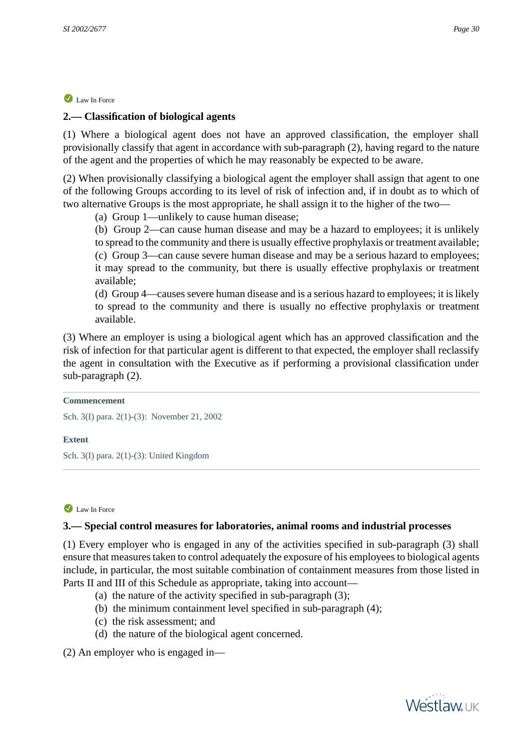## <span id="page-29-0"></span>**2.— Classification of biological agents**

(1) Where a biological agent does not have an approved classification, the employer shall provisionally classify that agent in accordance with sub-paragraph (2), having regard to the nature of the agent and the properties of which he may reasonably be expected to be aware.

(2) When provisionally classifying a biological agent the employer shall assign that agent to one of the following Groups according to its level of risk of infection and, if in doubt as to which of two alternative Groups is the most appropriate, he shall assign it to the higher of the two—

(a) Group 1—unlikely to cause human disease;

(b) Group 2—can cause human disease and may be a hazard to employees; it is unlikely to spread to the community and there is usually effective prophylaxis or treatment available; (c) Group 3—can cause severe human disease and may be a serious hazard to employees; it may spread to the community, but there is usually effective prophylaxis or treatment available;

(d) Group 4—causes severe human disease and is a serious hazard to employees; it is likely to spread to the community and there is usually no effective prophylaxis or treatment available.

(3) Where an employer is using a biological agent which has an approved classification and the risk of infection for that particular agent is different to that expected, the employer shall reclassify the agent in consultation with the Executive as if performing a provisional classification under sub-paragraph (2).

#### **Commencement**

Sch. 3(I) para. 2(1)-(3): November 21, 2002

#### <span id="page-29-1"></span>**Extent**

Sch. 3(I) para. 2(1)-(3): United Kingdom

### Law In Force

### **3.— Special control measures for laboratories, animal rooms and industrial processes**

(1) Every employer who is engaged in any of the activities specified in sub-paragraph (3) shall ensure that measures taken to control adequately the exposure of his employees to biological agents include, in particular, the most suitable combination of containment measures from those listed in Parts II and III of this Schedule as appropriate, taking into account—

- (a) the nature of the activity specified in sub-paragraph (3);
- (b) the minimum containment level specified in sub-paragraph (4);
- (c) the risk assessment; and
- (d) the nature of the biological agent concerned.

(2) An employer who is engaged in—

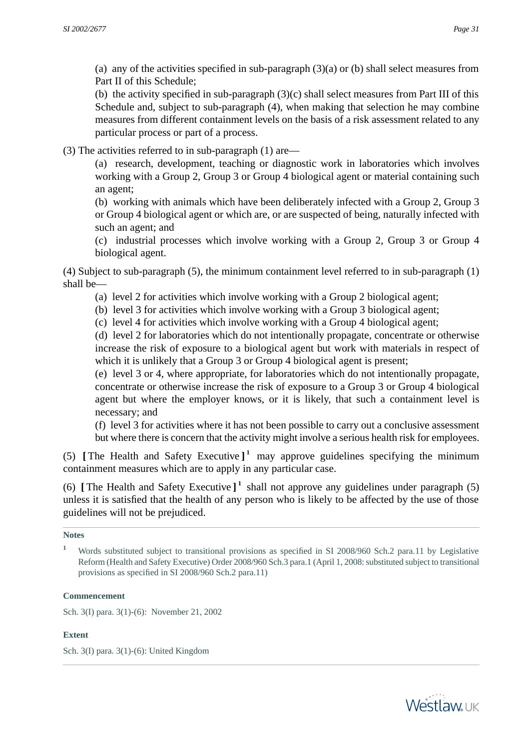(a) any of the activities specified in sub-paragraph (3)(a) or (b) shall select measures from Part II of this Schedule;

(b) the activity specified in sub-paragraph (3)(c) shall select measures from Part III of this Schedule and, subject to sub-paragraph (4), when making that selection he may combine measures from different containment levels on the basis of a risk assessment related to any particular process or part of a process.

(3) The activities referred to in sub-paragraph (1) are—

(a) research, development, teaching or diagnostic work in laboratories which involves working with a Group 2, Group 3 or Group 4 biological agent or material containing such an agent;

(b) working with animals which have been deliberately infected with a Group 2, Group 3 or Group 4 biological agent or which are, or are suspected of being, naturally infected with such an agent; and

(c) industrial processes which involve working with a Group 2, Group 3 or Group 4 biological agent.

(4) Subject to sub-paragraph (5), the minimum containment level referred to in sub-paragraph (1) shall be—

- (a) level 2 for activities which involve working with a Group 2 biological agent;
- (b) level 3 for activities which involve working with a Group 3 biological agent;
- (c) level 4 for activities which involve working with a Group 4 biological agent;

(d) level 2 for laboratories which do not intentionally propagate, concentrate or otherwise increase the risk of exposure to a biological agent but work with materials in respect of which it is unlikely that a Group 3 or Group 4 biological agent is present;

(e) level 3 or 4, where appropriate, for laboratories which do not intentionally propagate, concentrate or otherwise increase the risk of exposure to a Group 3 or Group 4 biological agent but where the employer knows, or it is likely, that such a containment level is necessary; and

(f) level 3 for activities where it has not been possible to carry out a conclusive assessment but where there is concern that the activity might involve a serious health risk for employees.

(5) **[** The Health and Safety Executive **] 1** may approve guidelines specifying the minimum containment measures which are to apply in any particular case.

(6) **[** The Health and Safety Executive **] 1** shall not approve any guidelines under paragraph (5) unless it is satisfied that the health of any person who is likely to be affected by the use of those guidelines will not be prejudiced.

### **Notes**

#### **Commencement**

Sch. 3(I) para. 3(1)-(6): November 21, 2002

### **Extent**

Sch. 3(I) para. 3(1)-(6): United Kingdom



**<sup>1</sup>** Words substituted subject to transitional provisions as specified in SI 2008/960 Sch.2 para.11 by Legislative Reform (Health and Safety Executive) Order 2008/960 Sch.3 para.1 (April 1, 2008: substituted subject to transitional provisions as specified in SI 2008/960 Sch.2 para.11)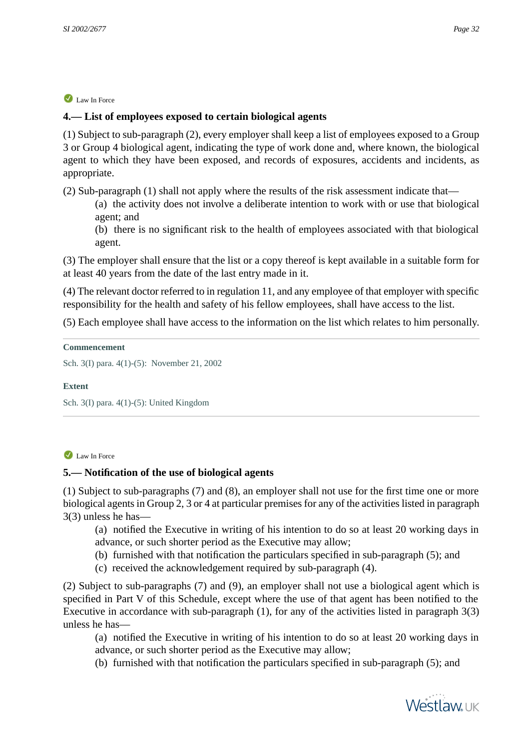## <span id="page-31-0"></span>**4.— List of employees exposed to certain biological agents**

(1) Subject to sub-paragraph (2), every employer shall keep a list of employees exposed to a Group 3 or Group 4 biological agent, indicating the type of work done and, where known, the biological agent to which they have been exposed, and records of exposures, accidents and incidents, as appropriate.

(2) Sub-paragraph (1) shall not apply where the results of the risk assessment indicate that—

(a) the activity does not involve a deliberate intention to work with or use that biological agent; and

(b) there is no significant risk to the health of employees associated with that biological agent.

(3) The employer shall ensure that the list or a copy thereof is kept available in a suitable form for at least 40 years from the date of the last entry made in it.

(4) The relevant doctor referred to in regulation 11, and any employee of that employer with specific responsibility for the health and safety of his fellow employees, shall have access to the list.

(5) Each employee shall have access to the information on the list which relates to him personally.

#### **Commencement**

Sch. 3(I) para. 4(1)-(5): November 21, 2002

#### <span id="page-31-1"></span>**Extent**

Sch. 3(I) para. 4(1)-(5): United Kingdom

### Law In Force

### **5.— Notification of the use of biological agents**

(1) Subject to sub-paragraphs (7) and (8), an employer shall not use for the first time one or more biological agents in Group 2, 3 or 4 at particular premises for any of the activities listed in paragraph 3(3) unless he has—

(a) notified the Executive in writing of his intention to do so at least 20 working days in advance, or such shorter period as the Executive may allow;

- (b) furnished with that notification the particulars specified in sub-paragraph (5); and
- (c) received the acknowledgement required by sub-paragraph (4).

(2) Subject to sub-paragraphs (7) and (9), an employer shall not use a biological agent which is specified in Part V of this Schedule, except where the use of that agent has been notified to the Executive in accordance with sub-paragraph (1), for any of the activities listed in paragraph 3(3) unless he has—

- (a) notified the Executive in writing of his intention to do so at least 20 working days in advance, or such shorter period as the Executive may allow;
- (b) furnished with that notification the particulars specified in sub-paragraph (5); and

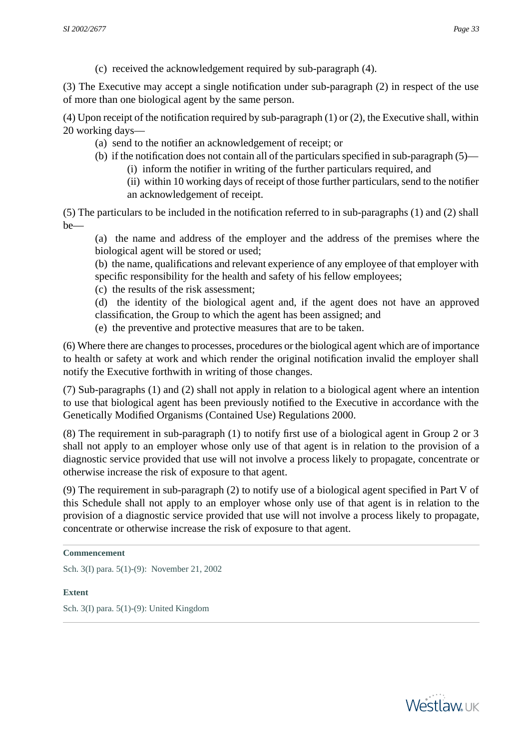(c) received the acknowledgement required by sub-paragraph (4).

(3) The Executive may accept a single notification under sub-paragraph (2) in respect of the use of more than one biological agent by the same person.

(4) Upon receipt of the notification required by sub-paragraph (1) or (2), the Executive shall, within 20 working days—

- (a) send to the notifier an acknowledgement of receipt; or
- (b) if the notification does not contain all of the particulars specified in sub-paragraph (5)—
	- (i) inform the notifier in writing of the further particulars required, and
	- (ii) within 10 working days of receipt of those further particulars, send to the notifier an acknowledgement of receipt.

(5) The particulars to be included in the notification referred to in sub-paragraphs (1) and (2) shall be—

(a) the name and address of the employer and the address of the premises where the biological agent will be stored or used;

(b) the name, qualifications and relevant experience of any employee of that employer with specific responsibility for the health and safety of his fellow employees;

(c) the results of the risk assessment;

(d) the identity of the biological agent and, if the agent does not have an approved classification, the Group to which the agent has been assigned; and

(e) the preventive and protective measures that are to be taken.

(6) Where there are changes to processes, procedures or the biological agent which are of importance to health or safety at work and which render the original notification invalid the employer shall notify the Executive forthwith in writing of those changes.

(7) Sub-paragraphs (1) and (2) shall not apply in relation to a biological agent where an intention to use that biological agent has been previously notified to the Executive in accordance with the Genetically Modified Organisms (Contained Use) Regulations 2000.

(8) The requirement in sub-paragraph (1) to notify first use of a biological agent in Group 2 or 3 shall not apply to an employer whose only use of that agent is in relation to the provision of a diagnostic service provided that use will not involve a process likely to propagate, concentrate or otherwise increase the risk of exposure to that agent.

(9) The requirement in sub-paragraph (2) to notify use of a biological agent specified in Part V of this Schedule shall not apply to an employer whose only use of that agent is in relation to the provision of a diagnostic service provided that use will not involve a process likely to propagate, concentrate or otherwise increase the risk of exposure to that agent.

<span id="page-32-0"></span>Sch. 3(I) para. 5(1)-(9): November 21, 2002

#### **Extent**

Sch. 3(I) para. 5(1)-(9): United Kingdom



**Commencement**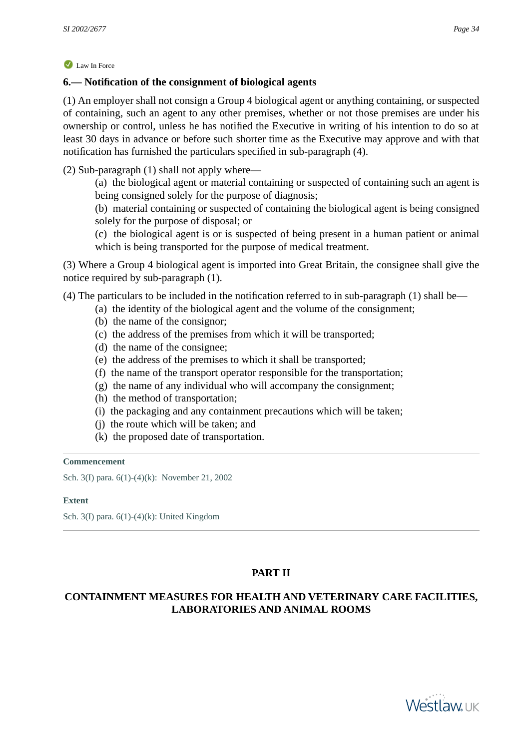## **6.— Notification of the consignment of biological agents**

(1) An employer shall not consign a Group 4 biological agent or anything containing, or suspected of containing, such an agent to any other premises, whether or not those premises are under his ownership or control, unless he has notified the Executive in writing of his intention to do so at least 30 days in advance or before such shorter time as the Executive may approve and with that notification has furnished the particulars specified in sub-paragraph (4).

(2) Sub-paragraph (1) shall not apply where—

(a) the biological agent or material containing or suspected of containing such an agent is being consigned solely for the purpose of diagnosis;

(b) material containing or suspected of containing the biological agent is being consigned solely for the purpose of disposal; or

(c) the biological agent is or is suspected of being present in a human patient or animal which is being transported for the purpose of medical treatment.

(3) Where a Group 4 biological agent is imported into Great Britain, the consignee shall give the notice required by sub-paragraph (1).

(4) The particulars to be included in the notification referred to in sub-paragraph (1) shall be—

- (a) the identity of the biological agent and the volume of the consignment;
	- (b) the name of the consignor;
- (c) the address of the premises from which it will be transported;
- (d) the name of the consignee;
- (e) the address of the premises to which it shall be transported;
- (f) the name of the transport operator responsible for the transportation;
- (g) the name of any individual who will accompany the consignment;
- (h) the method of transportation;
- (i) the packaging and any containment precautions which will be taken;
- (j) the route which will be taken; and
- (k) the proposed date of transportation.

#### **Commencement**

<span id="page-33-0"></span>Sch. 3(I) para. 6(1)-(4)(k): November 21, 2002

#### **Extent**

Sch. 3(I) para. 6(1)-(4)(k): United Kingdom

## **PART II**

## <span id="page-33-1"></span>**CONTAINMENT MEASURES FOR HEALTH AND VETERINARY CARE FACILITIES, LABORATORIES AND ANIMAL ROOMS**

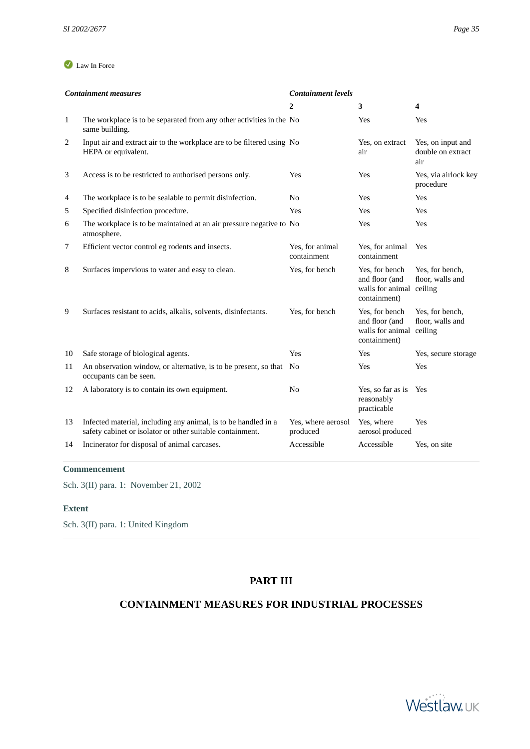|              | <b>Containment measures</b>                                                                                                 | <b>Containment levels</b>      |                                                                              |                                               |
|--------------|-----------------------------------------------------------------------------------------------------------------------------|--------------------------------|------------------------------------------------------------------------------|-----------------------------------------------|
|              |                                                                                                                             | 2                              | 3                                                                            | 4                                             |
| $\mathbf{1}$ | The workplace is to be separated from any other activities in the No<br>same building.                                      |                                | Yes                                                                          | Yes                                           |
| 2            | Input air and extract air to the workplace are to be filtered using No<br>HEPA or equivalent.                               |                                | Yes, on extract<br>air                                                       | Yes, on input and<br>double on extract<br>air |
| 3            | Access is to be restricted to authorised persons only.                                                                      | <b>Yes</b>                     | Yes                                                                          | Yes, via airlock key<br>procedure             |
| 4            | The workplace is to be sealable to permit disinfection.                                                                     | No                             | Yes                                                                          | Yes                                           |
| 5            | Specified disinfection procedure.                                                                                           | Yes                            | Yes                                                                          | Yes                                           |
| 6            | The workplace is to be maintained at an air pressure negative to No<br>atmosphere.                                          |                                | Yes                                                                          | Yes                                           |
| $\tau$       | Efficient vector control eg rodents and insects.                                                                            | Yes, for animal<br>containment | Yes, for animal<br>containment                                               | Yes                                           |
| 8            | Surfaces impervious to water and easy to clean.                                                                             | Yes, for bench                 | Yes, for bench<br>and floor (and<br>walls for animal ceiling<br>containment) | Yes, for bench,<br>floor, walls and           |
| 9            | Surfaces resistant to acids, alkalis, solvents, disinfectants.                                                              | Yes, for bench                 | Yes, for bench<br>and floor (and<br>walls for animal ceiling<br>containment) | Yes, for bench,<br>floor, walls and           |
| 10           | Safe storage of biological agents.                                                                                          | Yes                            | Yes                                                                          | Yes, secure storage                           |
| 11           | An observation window, or alternative, is to be present, so that No<br>occupants can be seen.                               |                                | Yes                                                                          | Yes                                           |
| 12           | A laboratory is to contain its own equipment.                                                                               | N <sub>o</sub>                 | Yes, so far as is<br>reasonably<br>practicable                               | Yes                                           |
| 13           | Infected material, including any animal, is to be handled in a<br>safety cabinet or isolator or other suitable containment. | Yes, where aerosol<br>produced | Yes, where<br>aerosol produced                                               | Yes                                           |
| 14           | Incinerator for disposal of animal carcases.                                                                                | Accessible                     | Accessible                                                                   | Yes, on site                                  |

#### **Commencement**

<span id="page-34-0"></span>Sch. 3(II) para. 1: November 21, 2002

#### **Extent**

<span id="page-34-1"></span>Sch. 3(II) para. 1: United Kingdom

## **PART III**

## **CONTAINMENT MEASURES FOR INDUSTRIAL PROCESSES**

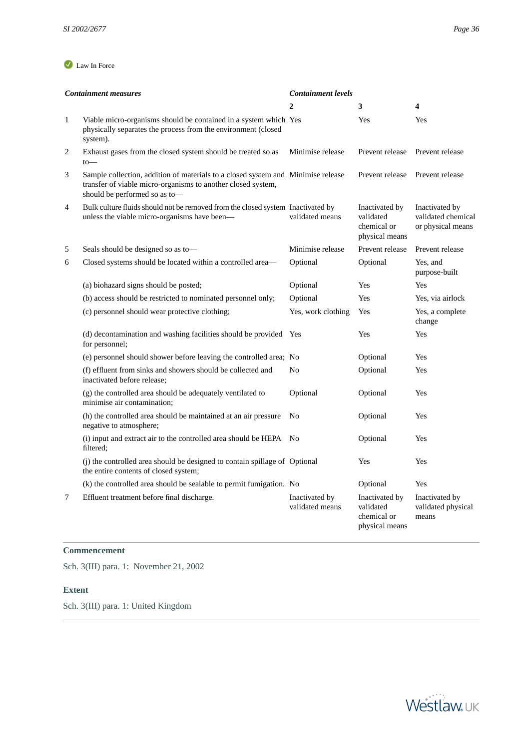|                | <b>Containment measures</b>                                                                                                                                                       | <b>Containment levels</b>         |                                                              |                                                           |
|----------------|-----------------------------------------------------------------------------------------------------------------------------------------------------------------------------------|-----------------------------------|--------------------------------------------------------------|-----------------------------------------------------------|
|                |                                                                                                                                                                                   | $\overline{2}$                    | 3                                                            | 4                                                         |
| $\mathbf{1}$   | Viable micro-organisms should be contained in a system which Yes<br>physically separates the process from the environment (closed<br>system).                                     |                                   | Yes                                                          | Yes                                                       |
| $\overline{c}$ | Exhaust gases from the closed system should be treated so as<br>$to-$                                                                                                             | Minimise release                  | Prevent release                                              | Prevent release                                           |
| 3              | Sample collection, addition of materials to a closed system and Minimise release<br>transfer of viable micro-organisms to another closed system,<br>should be performed so as to- |                                   | Prevent release                                              | Prevent release                                           |
| $\overline{4}$ | Bulk culture fluids should not be removed from the closed system Inactivated by<br>unless the viable micro-organisms have been-                                                   | validated means                   | Inactivated by<br>validated<br>chemical or<br>physical means | Inactivated by<br>validated chemical<br>or physical means |
| 5              | Seals should be designed so as to-                                                                                                                                                | Minimise release                  | Prevent release                                              | Prevent release                                           |
| 6              | Closed systems should be located within a controlled area—                                                                                                                        | Optional                          | Optional                                                     | Yes, and<br>purpose-built                                 |
|                | (a) biohazard signs should be posted;                                                                                                                                             | Optional                          | Yes                                                          | Yes                                                       |
|                | (b) access should be restricted to nominated personnel only;                                                                                                                      | Optional                          | Yes                                                          | Yes, via airlock                                          |
|                | (c) personnel should wear protective clothing;                                                                                                                                    | Yes, work clothing                | Yes                                                          | Yes, a complete<br>change                                 |
|                | (d) decontamination and washing facilities should be provided Yes<br>for personnel;                                                                                               |                                   | Yes                                                          | Yes                                                       |
|                | (e) personnel should shower before leaving the controlled area; No                                                                                                                |                                   | Optional                                                     | <b>Yes</b>                                                |
|                | (f) effluent from sinks and showers should be collected and<br>inactivated before release:                                                                                        | No                                | Optional                                                     | <b>Yes</b>                                                |
|                | (g) the controlled area should be adequately ventilated to<br>minimise air contamination;                                                                                         | Optional                          | Optional                                                     | Yes                                                       |
|                | (h) the controlled area should be maintained at an air pressure<br>negative to atmosphere;                                                                                        | N <sub>0</sub>                    | Optional                                                     | Yes                                                       |
|                | (i) input and extract air to the controlled area should be HEPA No<br>filtered:                                                                                                   |                                   | Optional                                                     | Yes                                                       |
|                | (j) the controlled area should be designed to contain spillage of Optional<br>the entire contents of closed system;                                                               |                                   | Yes                                                          | Yes                                                       |
|                | (k) the controlled area should be sealable to permit fumigation. No                                                                                                               |                                   | Optional                                                     | Yes                                                       |
| 7              | Effluent treatment before final discharge.                                                                                                                                        | Inactivated by<br>validated means | Inactivated by<br>validated<br>chemical or<br>physical means | Inactivated by<br>validated physical<br>means             |

## **Commencement**

<span id="page-35-0"></span>Sch. 3(III) para. 1: November 21, 2002

#### **Extent**

Sch. 3(III) para. 1: United Kingdom

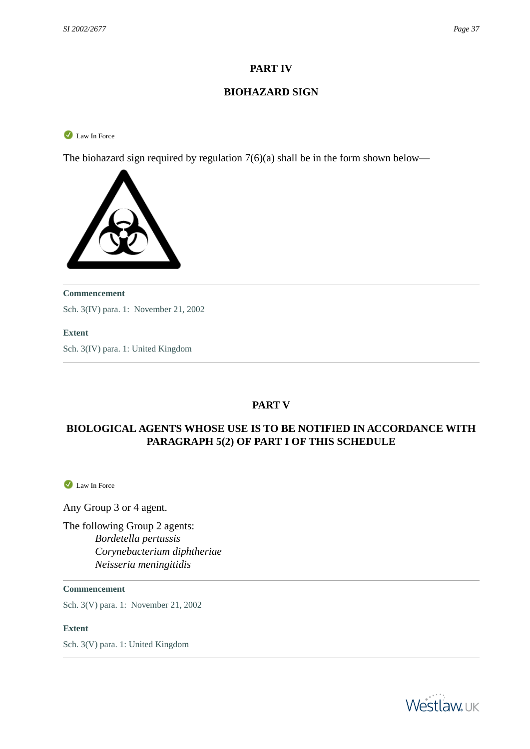## **PART IV**

## **BIOHAZARD SIGN**

<span id="page-36-0"></span>Law In Force

The biohazard sign required by regulation 7(6)(a) shall be in the form shown below—



#### **Commencement**

Sch. 3(IV) para. 1: November 21, 2002

#### <span id="page-36-1"></span>**Extent**

Sch. 3(IV) para. 1: United Kingdom

## **PART V**

## <span id="page-36-2"></span>**BIOLOGICAL AGENTS WHOSE USE IS TO BE NOTIFIED IN ACCORDANCE WITH PARAGRAPH 5(2) OF PART I OF THIS SCHEDULE**

Law In Force

Any Group 3 or 4 agent.

The following Group 2 agents: *Bordetella pertussis Corynebacterium diphtheriae Neisseria meningitidis*

**Commencement**

Sch. 3(V) para. 1: November 21, 2002

**Extent**

Sch. 3(V) para. 1: United Kingdom

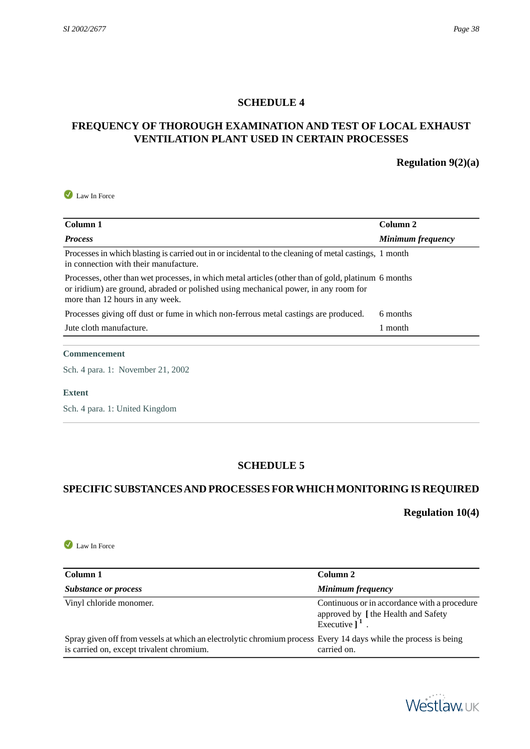#### **SCHEDULE 4**

## <span id="page-37-1"></span><span id="page-37-0"></span>**FREQUENCY OF THOROUGH EXAMINATION AND TEST OF LOCAL EXHAUST VENTILATION PLANT USED IN CERTAIN PROCESSES**

### **Regulation 9(2)(a)**

Law In Force

| Column 1                                                                                                                                                                                                                      | Column 2          |
|-------------------------------------------------------------------------------------------------------------------------------------------------------------------------------------------------------------------------------|-------------------|
| <b>Process</b>                                                                                                                                                                                                                | Minimum frequency |
| Processes in which blasting is carried out in or incidental to the cleaning of metal castings, 1 month<br>in connection with their manufacture.                                                                               |                   |
| Processes, other than wet processes, in which metal articles (other than of gold, platinum 6 months<br>or iridium) are ground, abraded or polished using mechanical power, in any room for<br>more than 12 hours in any week. |                   |
| Processes giving off dust or fume in which non-ferrous metal castings are produced.                                                                                                                                           | 6 months          |
| Jute cloth manufacture.                                                                                                                                                                                                       | 1 month           |

#### **Commencement**

Sch. 4 para. 1: November 21, 2002

#### <span id="page-37-2"></span>**Extent**

Sch. 4 para. 1: United Kingdom

#### **SCHEDULE 5**

## <span id="page-37-3"></span>**SPECIFIC SUBSTANCES AND PROCESSES FOR WHICH MONITORING IS REQUIRED**

## **Regulation 10(4)**

Law In Force

| Column 1                                                                                                                                                     | Column 2                                                                                                         |
|--------------------------------------------------------------------------------------------------------------------------------------------------------------|------------------------------------------------------------------------------------------------------------------|
| Substance or process                                                                                                                                         | Minimum frequency                                                                                                |
| Vinyl chloride monomer.                                                                                                                                      | Continuous or in accordance with a procedure<br>approved by [the Health and Safety<br>Executive $\overline{1}^1$ |
| Spray given off from vessels at which an electrolytic chromium process Every 14 days while the process is being<br>is carried on, except trivalent chromium. | carried on.                                                                                                      |

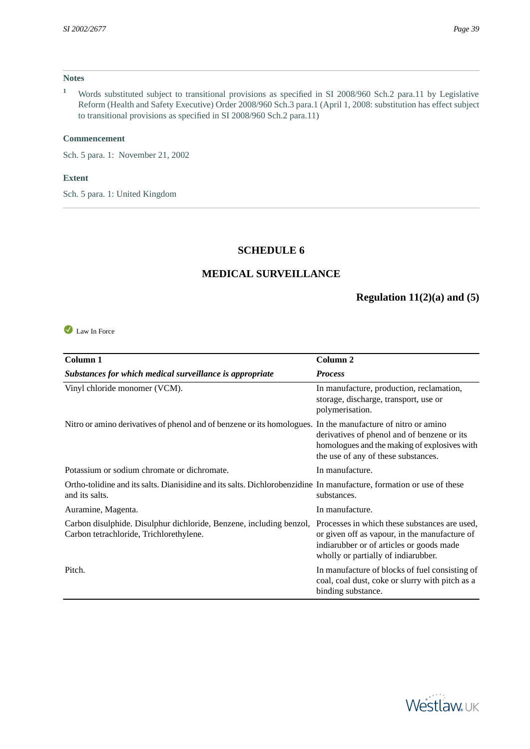#### **Notes**

**<sup>1</sup>** Words substituted subject to transitional provisions as specified in SI 2008/960 Sch.2 para.11 by Legislative Reform (Health and Safety Executive) Order 2008/960 Sch.3 para.1 (April 1, 2008: substitution has effect subject to transitional provisions as specified in SI 2008/960 Sch.2 para.11)

#### **Commencement**

Sch. 5 para. 1: November 21, 2002

#### **Extent**

<span id="page-38-0"></span>Sch. 5 para. 1: United Kingdom

## **SCHEDULE 6**

#### **MEDICAL SURVEILLANCE**

## **Regulation 11(2)(a) and (5)**

<span id="page-38-1"></span>Law In Force

| Column 1                                                                                                                               | Column <sub>2</sub>                                                                                                                                                               |
|----------------------------------------------------------------------------------------------------------------------------------------|-----------------------------------------------------------------------------------------------------------------------------------------------------------------------------------|
| Substances for which medical surveillance is appropriate                                                                               | <b>Process</b>                                                                                                                                                                    |
| Vinyl chloride monomer (VCM).                                                                                                          | In manufacture, production, reclamation,<br>storage, discharge, transport, use or<br>polymerisation.                                                                              |
| Nitro or amino derivatives of phenol and of benzene or its homologues. In the manufacture of nitro or amino                            | derivatives of phenol and of benzene or its<br>homologues and the making of explosives with<br>the use of any of these substances.                                                |
| Potassium or sodium chromate or dichromate.                                                                                            | In manufacture.                                                                                                                                                                   |
| Ortho-tolidine and its salts. Dianisidine and its salts. Dichlorobenzidine In manufacture, formation or use of these<br>and its salts. | substances.                                                                                                                                                                       |
| Auramine, Magenta.                                                                                                                     | In manufacture.                                                                                                                                                                   |
| Carbon disulphide. Disulphur dichloride, Benzene, including benzol,<br>Carbon tetrachloride, Trichlorethylene.                         | Processes in which these substances are used,<br>or given off as vapour, in the manufacture of<br>indiarubber or of articles or goods made<br>wholly or partially of indiarubber. |
| Pitch.                                                                                                                                 | In manufacture of blocks of fuel consisting of<br>coal, coal dust, coke or slurry with pitch as a<br>binding substance.                                                           |

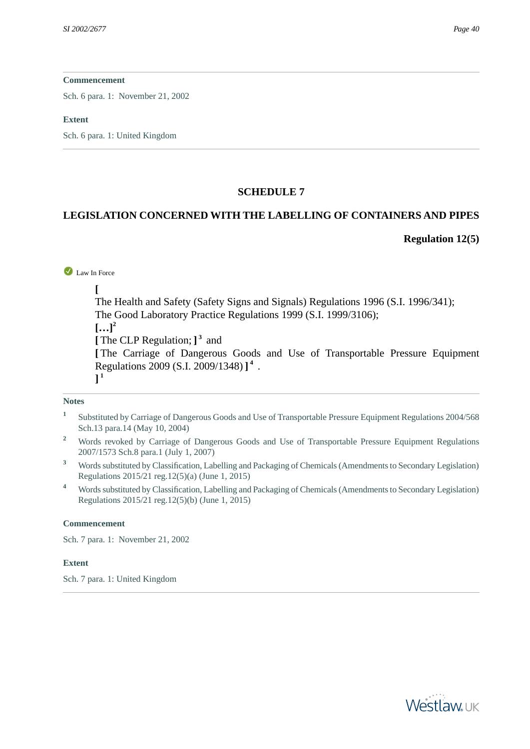Sch. 6 para. 1: November 21, 2002

#### **Extent**

<span id="page-39-0"></span>Sch. 6 para. 1: United Kingdom

### **SCHEDULE 7**

### <span id="page-39-1"></span>**LEGISLATION CONCERNED WITH THE LABELLING OF CONTAINERS AND PIPES**

#### **Regulation 12(5)**

#### Law In Force

**[**

The Health and Safety (Safety Signs and Signals) Regulations 1996 (S.I. 1996/341); The Good Laboratory Practice Regulations 1999 (S.I. 1999/3106);

 $[...]^2$ 

**[** The CLP Regulation; **] 3** and

**[** The Carriage of Dangerous Goods and Use of Transportable Pressure Equipment Regulations 2009 (S.I. 2009/1348) **] 4** .

**] 1**

#### **Notes**

- **1** Substituted by Carriage of Dangerous Goods and Use of Transportable Pressure Equipment Regulations 2004/568 Sch.13 para.14 (May 10, 2004)
- <sup>2</sup> Words revoked by Carriage of Dangerous Goods and Use of Transportable Pressure Equipment Regulations 2007/1573 Sch.8 para.1 (July 1, 2007)
- **<sup>3</sup>** Words substituted by Classification, Labelling and Packaging of Chemicals (Amendments to Secondary Legislation) Regulations 2015/21 reg.12(5)(a) (June 1, 2015)
- **<sup>4</sup>** Words substituted by Classification, Labelling and Packaging of Chemicals (Amendments to Secondary Legislation) Regulations 2015/21 reg.12(5)(b) (June 1, 2015)

#### **Commencement**

<span id="page-39-2"></span>Sch. 7 para. 1: November 21, 2002

#### **Extent**

Sch. 7 para. 1: United Kingdom

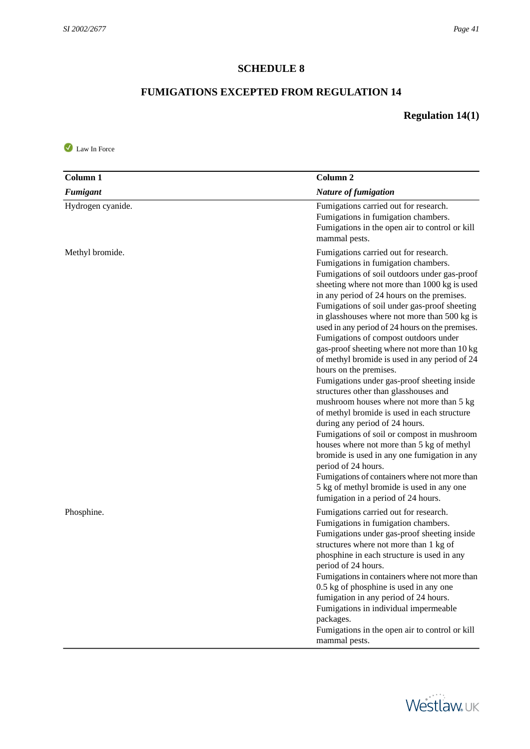## **SCHEDULE 8**

## **FUMIGATIONS EXCEPTED FROM REGULATION 14**

## **Regulation 14(1)**

<span id="page-40-0"></span>Law In Force

| Column <sub>1</sub> | Column <sub>2</sub>                                                                                                                                                                                                                                                                                                                                                                                                                                                                                                                                                                                                                                                                                                                                                                                                                                                                                                                                                                                                                                                           |
|---------------------|-------------------------------------------------------------------------------------------------------------------------------------------------------------------------------------------------------------------------------------------------------------------------------------------------------------------------------------------------------------------------------------------------------------------------------------------------------------------------------------------------------------------------------------------------------------------------------------------------------------------------------------------------------------------------------------------------------------------------------------------------------------------------------------------------------------------------------------------------------------------------------------------------------------------------------------------------------------------------------------------------------------------------------------------------------------------------------|
| <b>Fumigant</b>     | <b>Nature of fumigation</b>                                                                                                                                                                                                                                                                                                                                                                                                                                                                                                                                                                                                                                                                                                                                                                                                                                                                                                                                                                                                                                                   |
| Hydrogen cyanide.   | Fumigations carried out for research.<br>Fumigations in fumigation chambers.<br>Fumigations in the open air to control or kill<br>mammal pests.                                                                                                                                                                                                                                                                                                                                                                                                                                                                                                                                                                                                                                                                                                                                                                                                                                                                                                                               |
| Methyl bromide.     | Fumigations carried out for research.<br>Fumigations in fumigation chambers.<br>Fumigations of soil outdoors under gas-proof<br>sheeting where not more than 1000 kg is used<br>in any period of 24 hours on the premises.<br>Fumigations of soil under gas-proof sheeting<br>in glasshouses where not more than 500 kg is<br>used in any period of 24 hours on the premises.<br>Fumigations of compost outdoors under<br>gas-proof sheeting where not more than 10 kg<br>of methyl bromide is used in any period of 24<br>hours on the premises.<br>Fumigations under gas-proof sheeting inside<br>structures other than glasshouses and<br>mushroom houses where not more than 5 kg<br>of methyl bromide is used in each structure<br>during any period of 24 hours.<br>Fumigations of soil or compost in mushroom<br>houses where not more than 5 kg of methyl<br>bromide is used in any one fumigation in any<br>period of 24 hours.<br>Fumigations of containers where not more than<br>5 kg of methyl bromide is used in any one<br>fumigation in a period of 24 hours. |
| Phosphine.          | Fumigations carried out for research.<br>Fumigations in fumigation chambers.<br>Fumigations under gas-proof sheeting inside<br>structures where not more than 1 kg of<br>phosphine in each structure is used in any<br>period of 24 hours.<br>Fumigations in containers where not more than<br>0.5 kg of phosphine is used in any one<br>fumigation in any period of 24 hours.<br>Fumigations in individual impermeable<br>packages.<br>Fumigations in the open air to control or kill<br>mammal pests.                                                                                                                                                                                                                                                                                                                                                                                                                                                                                                                                                                       |

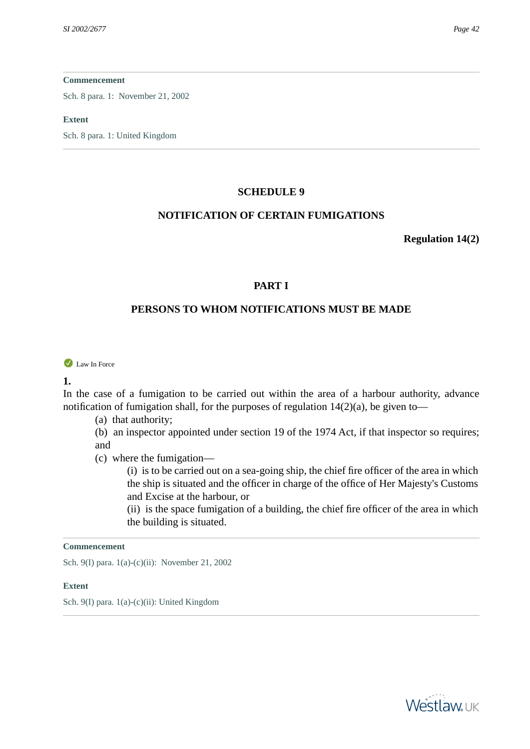Sch. 8 para. 1: November 21, 2002

#### **Extent**

<span id="page-41-1"></span><span id="page-41-0"></span>Sch. 8 para. 1: United Kingdom

#### **SCHEDULE 9**

#### **NOTIFICATION OF CERTAIN FUMIGATIONS**

**Regulation 14(2)**

### **PART I**

## **PERSONS TO WHOM NOTIFICATIONS MUST BE MADE**

<span id="page-41-2"></span>Law In Force

#### **1.**

In the case of a fumigation to be carried out within the area of a harbour authority, advance notification of fumigation shall, for the purposes of regulation  $14(2)(a)$ , be given to-

(a) that authority;

(b) an inspector appointed under section 19 of the 1974 Act, if that inspector so requires; and

(c) where the fumigation—

(i) is to be carried out on a sea-going ship, the chief fire officer of the area in which the ship is situated and the officer in charge of the office of Her Majesty's Customs and Excise at the harbour, or

(ii) is the space fumigation of a building, the chief fire officer of the area in which the building is situated.

#### **Commencement**

<span id="page-41-3"></span>Sch. 9(I) para. 1(a)-(c)(ii): November 21, 2002

#### **Extent**

Sch. 9(I) para. 1(a)-(c)(ii): United Kingdom

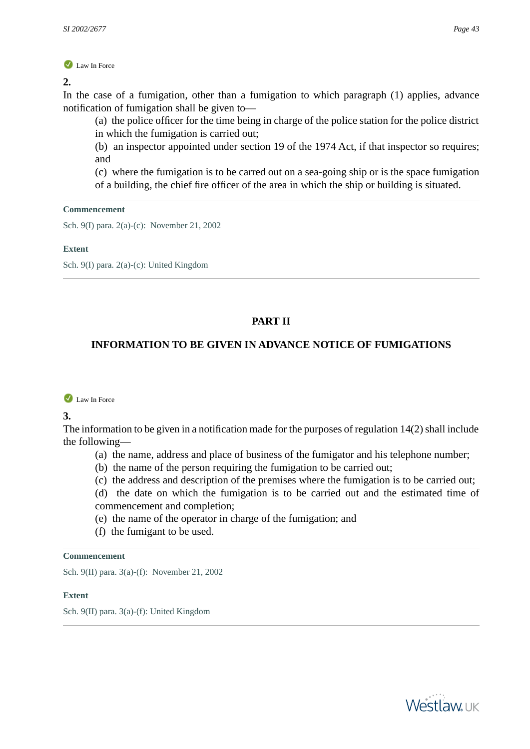**2.** 

In the case of a fumigation, other than a fumigation to which paragraph (1) applies, advance notification of fumigation shall be given to—

(a) the police officer for the time being in charge of the police station for the police district in which the fumigation is carried out;

(b) an inspector appointed under section 19 of the 1974 Act, if that inspector so requires; and

(c) where the fumigation is to be carred out on a sea-going ship or is the space fumigation of a building, the chief fire officer of the area in which the ship or building is situated.

#### **Commencement**

Sch. 9(I) para. 2(a)-(c): November 21, 2002

#### **Extent**

<span id="page-42-0"></span>Sch. 9(I) para. 2(a)-(c): United Kingdom

## **PART II**

## <span id="page-42-1"></span>**INFORMATION TO BE GIVEN IN ADVANCE NOTICE OF FUMIGATIONS**

Law In Force

**3.** 

The information to be given in a notification made for the purposes of regulation 14(2) shall include the following—

- (a) the name, address and place of business of the fumigator and his telephone number;
- (b) the name of the person requiring the fumigation to be carried out;
- (c) the address and description of the premises where the fumigation is to be carried out;

(d) the date on which the fumigation is to be carried out and the estimated time of commencement and completion;

- (e) the name of the operator in charge of the fumigation; and
- (f) the fumigant to be used.

#### **Commencement**

<span id="page-42-2"></span>Sch. 9(II) para. 3(a)-(f): November 21, 2002

#### **Extent**

Sch. 9(II) para. 3(a)-(f): United Kingdom

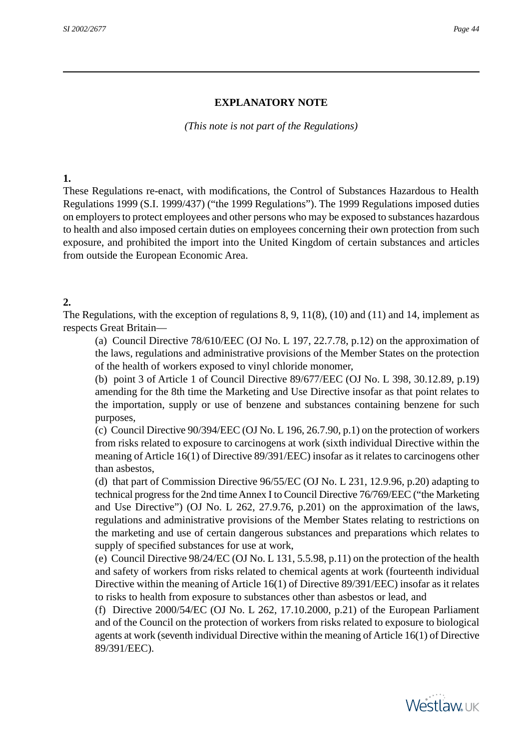## **EXPLANATORY NOTE**

*(This note is not part of the Regulations)*

### <span id="page-43-0"></span>**1.**

<span id="page-43-1"></span>These Regulations re-enact, with modifications, the Control of Substances Hazardous to Health Regulations 1999 (S.I. 1999/437) ("the 1999 Regulations"). The 1999 Regulations imposed duties on employers to protect employees and other persons who may be exposed to substances hazardous to health and also imposed certain duties on employees concerning their own protection from such exposure, and prohibited the import into the United Kingdom of certain substances and articles from outside the European Economic Area.

## **2.**

The Regulations, with the exception of regulations 8, 9, 11(8), (10) and (11) and 14, implement as respects Great Britain—

(a) Council Directive 78/610/EEC (OJ No. L 197, 22.7.78, p.12) on the approximation of the laws, regulations and administrative provisions of the Member States on the protection of the health of workers exposed to vinyl chloride monomer,

(b) point 3 of Article 1 of Council Directive 89/677/EEC (OJ No. L 398, 30.12.89, p.19) amending for the 8th time the Marketing and Use Directive insofar as that point relates to the importation, supply or use of benzene and substances containing benzene for such purposes,

(c) Council Directive 90/394/EEC (OJ No. L 196, 26.7.90, p.1) on the protection of workers from risks related to exposure to carcinogens at work (sixth individual Directive within the meaning of Article 16(1) of Directive 89/391/EEC) insofar as it relates to carcinogens other than asbestos,

(d) that part of Commission Directive 96/55/EC (OJ No. L 231, 12.9.96, p.20) adapting to technical progress for the 2nd time Annex I to Council Directive 76/769/EEC ("the Marketing and Use Directive") (OJ No. L 262, 27.9.76, p.201) on the approximation of the laws, regulations and administrative provisions of the Member States relating to restrictions on the marketing and use of certain dangerous substances and preparations which relates to supply of specified substances for use at work,

(e) Council Directive 98/24/EC (OJ No. L 131, 5.5.98, p.11) on the protection of the health and safety of workers from risks related to chemical agents at work (fourteenth individual Directive within the meaning of Article 16(1) of Directive 89/391/EEC) insofar as it relates to risks to health from exposure to substances other than asbestos or lead, and

(f) Directive 2000/54/EC (OJ No. L 262, 17.10.2000, p.21) of the European Parliament and of the Council on the protection of workers from risks related to exposure to biological agents at work (seventh individual Directive within the meaning of Article 16(1) of Directive 89/391/EEC).

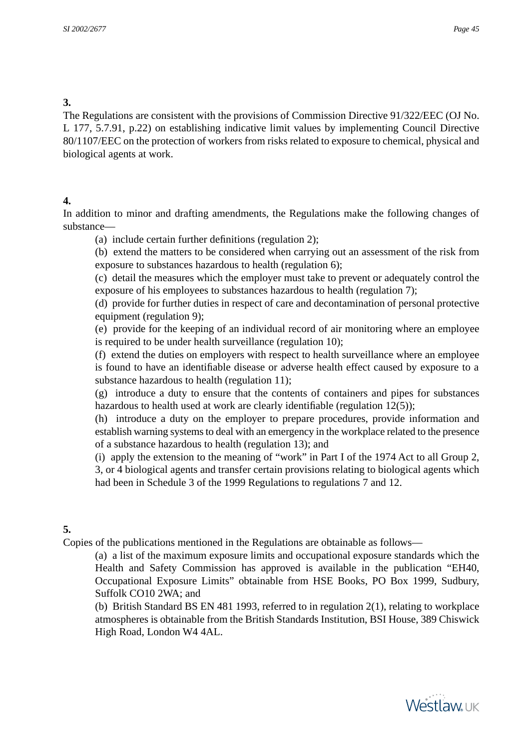## <span id="page-44-0"></span>**3.**

<span id="page-44-1"></span>The Regulations are consistent with the provisions of Commission Directive 91/322/EEC (OJ No. L 177, 5.7.91, p.22) on establishing indicative limit values by implementing Council Directive 80/1107/EEC on the protection of workers from risks related to exposure to chemical, physical and biological agents at work.

## **4.**

In addition to minor and drafting amendments, the Regulations make the following changes of substance—

(a) include certain further definitions (regulation 2);

(b) extend the matters to be considered when carrying out an assessment of the risk from exposure to substances hazardous to health (regulation 6);

(c) detail the measures which the employer must take to prevent or adequately control the exposure of his employees to substances hazardous to health (regulation 7);

(d) provide for further duties in respect of care and decontamination of personal protective equipment (regulation 9);

(e) provide for the keeping of an individual record of air monitoring where an employee is required to be under health surveillance (regulation 10);

(f) extend the duties on employers with respect to health surveillance where an employee is found to have an identifiable disease or adverse health effect caused by exposure to a substance hazardous to health (regulation 11);

(g) introduce a duty to ensure that the contents of containers and pipes for substances hazardous to health used at work are clearly identifiable (regulation 12(5));

(h) introduce a duty on the employer to prepare procedures, provide information and establish warning systems to deal with an emergency in the workplace related to the presence of a substance hazardous to health (regulation 13); and

<span id="page-44-2"></span>(i) apply the extension to the meaning of "work" in Part I of the 1974 Act to all Group 2, 3, or 4 biological agents and transfer certain provisions relating to biological agents which had been in Schedule 3 of the 1999 Regulations to regulations 7 and 12.

## **5.**

Copies of the publications mentioned in the Regulations are obtainable as follows—

(a) a list of the maximum exposure limits and occupational exposure standards which the Health and Safety Commission has approved is available in the publication "EH40, Occupational Exposure Limits" obtainable from HSE Books, PO Box 1999, Sudbury, Suffolk CO10 2WA; and

(b) British Standard BS EN 481 1993, referred to in regulation 2(1), relating to workplace atmospheres is obtainable from the British Standards Institution, BSI House, 389 Chiswick High Road, London W4 4AL.

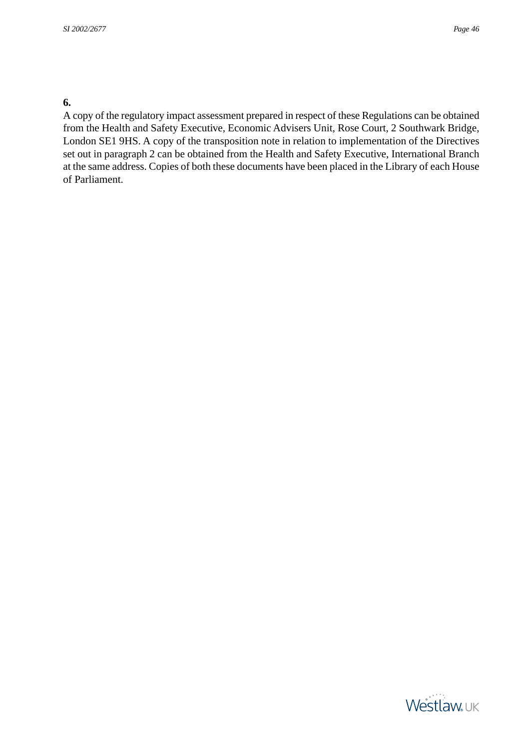## <span id="page-45-0"></span>**6.**

A copy of the regulatory impact assessment prepared in respect of these Regulations can be obtained from the Health and Safety Executive, Economic Advisers Unit, Rose Court, 2 Southwark Bridge, London SE1 9HS. A copy of the transposition note in relation to implementation of the Directives set out in paragraph 2 can be obtained from the Health and Safety Executive, International Branch at the same address. Copies of both these documents have been placed in the Library of each House of Parliament.

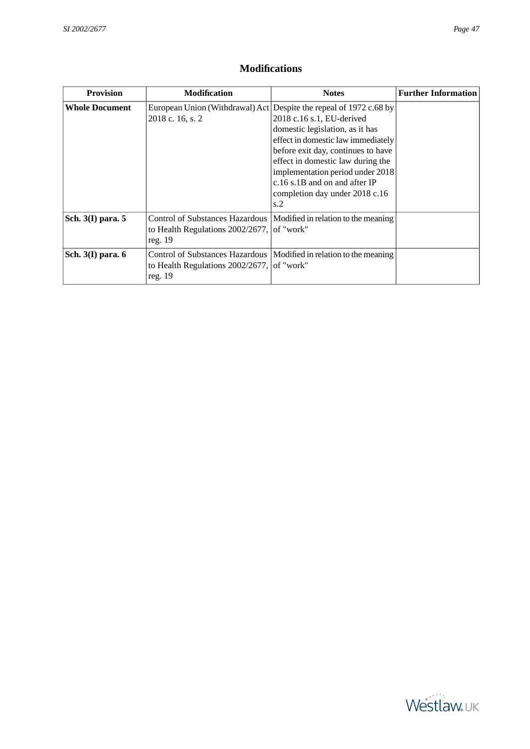## **Modifications**

<span id="page-46-0"></span>

| <b>Provision</b>      | <b>Modification</b>                                        | <b>Notes</b>                                                                                                                                                                                                                                                                                                                                                        | <b>Further Information</b> |
|-----------------------|------------------------------------------------------------|---------------------------------------------------------------------------------------------------------------------------------------------------------------------------------------------------------------------------------------------------------------------------------------------------------------------------------------------------------------------|----------------------------|
| <b>Whole Document</b> | 2018 c. 16, s. 2                                           | European Union (Withdrawal) Act Despite the repeal of 1972 c.68 by<br>2018 c.16 s.1, EU-derived<br>domestic legislation, as it has<br>effect in domestic law immediately<br>before exit day, continues to have<br>effect in domestic law during the<br>implementation period under 2018<br>$c.16$ s.1B and on and after IP<br>completion day under 2018 c.16<br>s.2 |                            |
| Sch. $3(I)$ para. 5   | to Health Regulations $2002/2677$ , of "work"<br>reg. $19$ | Control of Substances Hazardous   Modified in relation to the meaning                                                                                                                                                                                                                                                                                               |                            |
| Sch. $3(I)$ para. $6$ | to Health Regulations $2002/2677$ , of "work"<br>reg. $19$ | Control of Substances Hazardous   Modified in relation to the meaning                                                                                                                                                                                                                                                                                               |                            |

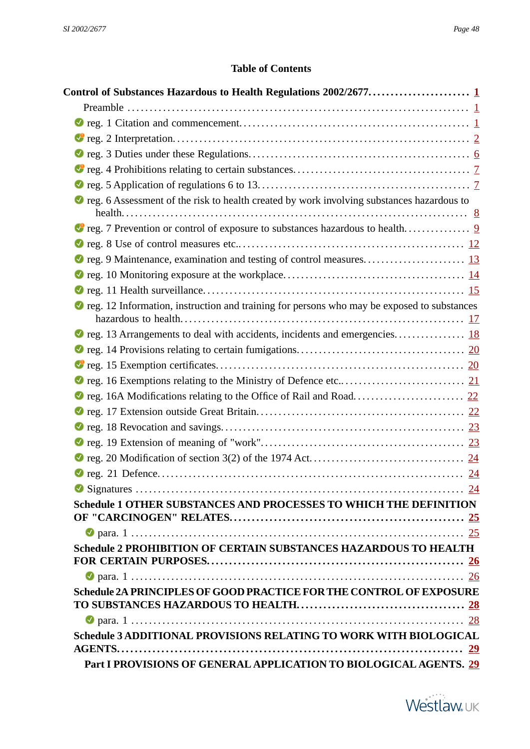## **Table of Contents**

<span id="page-47-0"></span>

| ● reg. 6 Assessment of the risk to health created by work involving substances hazardous to  |  |
|----------------------------------------------------------------------------------------------|--|
|                                                                                              |  |
|                                                                                              |  |
|                                                                                              |  |
|                                                                                              |  |
|                                                                                              |  |
|                                                                                              |  |
| ● reg. 12 Information, instruction and training for persons who may be exposed to substances |  |
|                                                                                              |  |
|                                                                                              |  |
|                                                                                              |  |
|                                                                                              |  |
|                                                                                              |  |
|                                                                                              |  |
|                                                                                              |  |
|                                                                                              |  |
|                                                                                              |  |
|                                                                                              |  |
|                                                                                              |  |
| Schedule 1 OTHER SUBSTANCES AND PROCESSES TO WHICH THE DEFINITION                            |  |
|                                                                                              |  |
|                                                                                              |  |
| Schedule 2 PROHIBITION OF CERTAIN SUBSTANCES HAZARDOUS TO HEALTH                             |  |
|                                                                                              |  |
| Schedule 2A PRINCIPLES OF GOOD PRACTICE FOR THE CONTROL OF EXPOSURE                          |  |
|                                                                                              |  |
|                                                                                              |  |
| Schedule 3 ADDITIONAL PROVISIONS RELATING TO WORK WITH BIOLOGICAL                            |  |
|                                                                                              |  |
| Part I PROVISIONS OF GENERAL APPLICATION TO BIOLOGICAL AGENTS. 29                            |  |

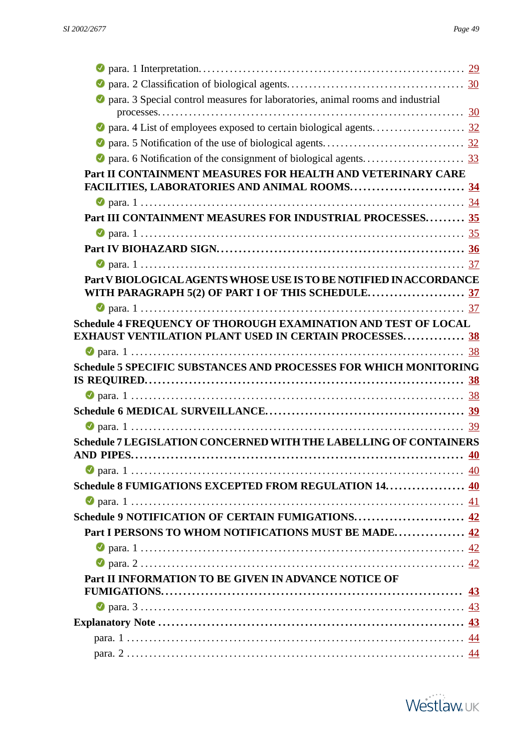| <b>O</b> para. 3 Special control measures for laboratories, animal rooms and industrial |                 |
|-----------------------------------------------------------------------------------------|-----------------|
|                                                                                         |                 |
|                                                                                         |                 |
|                                                                                         |                 |
| Part II CONTAINMENT MEASURES FOR HEALTH AND VETERINARY CARE                             |                 |
|                                                                                         |                 |
|                                                                                         |                 |
| Part III CONTAINMENT MEASURES FOR INDUSTRIAL PROCESSES 35                               |                 |
|                                                                                         |                 |
|                                                                                         |                 |
|                                                                                         |                 |
| Part V BIOLOGICAL AGENTS WHOSE USE IS TO BE NOTIFIED IN ACCORDANCE                      |                 |
| WITH PARAGRAPH 5(2) OF PART I OF THIS SCHEDULE37                                        |                 |
|                                                                                         |                 |
| Schedule 4 FREQUENCY OF THOROUGH EXAMINATION AND TEST OF LOCAL                          |                 |
| <b>EXHAUST VENTILATION PLANT USED IN CERTAIN PROCESSES 38</b>                           |                 |
|                                                                                         |                 |
| <b>Schedule 5 SPECIFIC SUBSTANCES AND PROCESSES FOR WHICH MONITORING</b>                |                 |
|                                                                                         |                 |
|                                                                                         |                 |
|                                                                                         |                 |
|                                                                                         |                 |
|                                                                                         |                 |
| Schedule 7 LEGISLATION CONCERNED WITH THE LABELLING OF CONTAINERS                       |                 |
|                                                                                         |                 |
|                                                                                         | $\overline{40}$ |
| Schedule 8 FUMIGATIONS EXCEPTED FROM REGULATION 14. 40                                  |                 |
|                                                                                         | 41              |
| Schedule 9 NOTIFICATION OF CERTAIN FUMIGATIONS 42                                       |                 |
| Part I PERSONS TO WHOM NOTIFICATIONS MUST BE MADE 42                                    |                 |
|                                                                                         |                 |
|                                                                                         |                 |
| Part II INFORMATION TO BE GIVEN IN ADVANCE NOTICE OF                                    |                 |
|                                                                                         | <u>43</u>       |
|                                                                                         |                 |
|                                                                                         |                 |